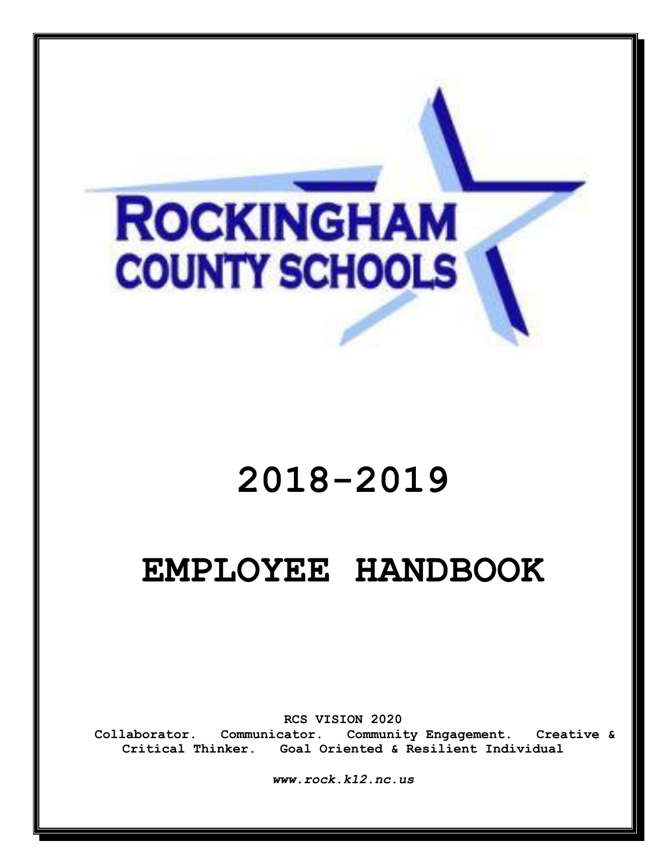# **ROCKINGHAM COUNTY SCHOOLS**

# **2018-2019**

# **EMPLOYEE HANDBOOK**

**RCS VISION 2020**

**Collaborator. Communicator. Community Engagement. Creative & Critical Thinker. Goal Oriented & Resilient Individual**

*www.rock.k12.nc.us*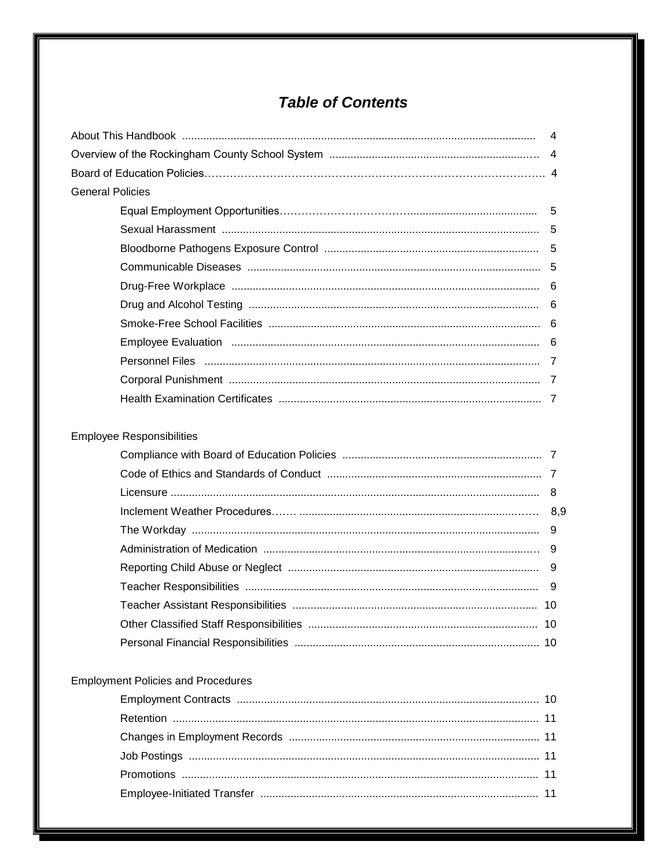# **Table of Contents**

| <b>General Policies</b>                   |  |  |  |
|-------------------------------------------|--|--|--|
|                                           |  |  |  |
|                                           |  |  |  |
|                                           |  |  |  |
|                                           |  |  |  |
|                                           |  |  |  |
|                                           |  |  |  |
|                                           |  |  |  |
|                                           |  |  |  |
|                                           |  |  |  |
|                                           |  |  |  |
|                                           |  |  |  |
|                                           |  |  |  |
| <b>Employee Responsibilities</b>          |  |  |  |
|                                           |  |  |  |
|                                           |  |  |  |
|                                           |  |  |  |
|                                           |  |  |  |
|                                           |  |  |  |
|                                           |  |  |  |
|                                           |  |  |  |
|                                           |  |  |  |
|                                           |  |  |  |
|                                           |  |  |  |
|                                           |  |  |  |
|                                           |  |  |  |
| <b>Employment Policies and Procedures</b> |  |  |  |
|                                           |  |  |  |
|                                           |  |  |  |
|                                           |  |  |  |
|                                           |  |  |  |
|                                           |  |  |  |
|                                           |  |  |  |
|                                           |  |  |  |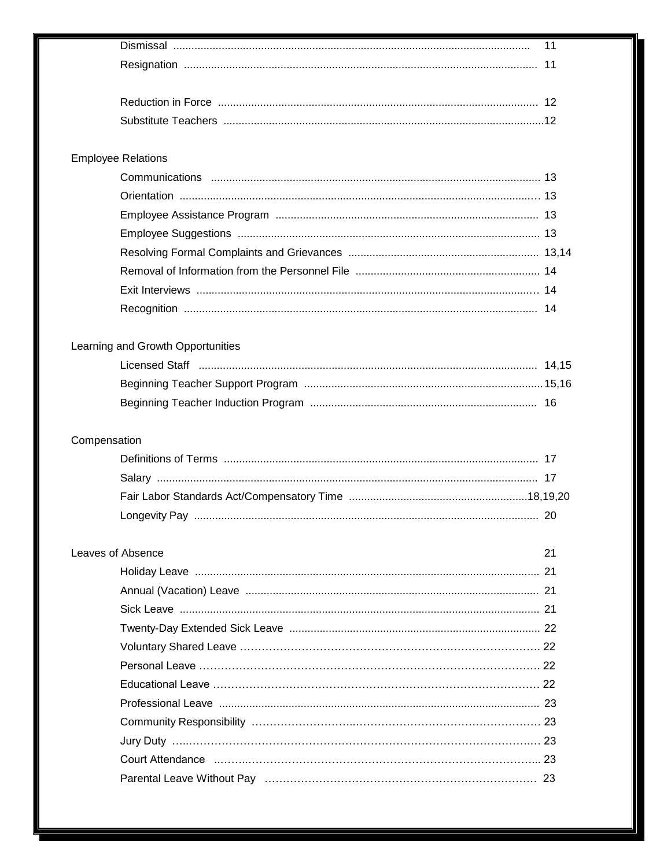|                                                                                                                                                                                                                                | 11 |
|--------------------------------------------------------------------------------------------------------------------------------------------------------------------------------------------------------------------------------|----|
|                                                                                                                                                                                                                                |    |
|                                                                                                                                                                                                                                |    |
|                                                                                                                                                                                                                                |    |
|                                                                                                                                                                                                                                |    |
| <b>Employee Relations</b>                                                                                                                                                                                                      |    |
|                                                                                                                                                                                                                                |    |
|                                                                                                                                                                                                                                |    |
|                                                                                                                                                                                                                                |    |
|                                                                                                                                                                                                                                |    |
|                                                                                                                                                                                                                                |    |
|                                                                                                                                                                                                                                |    |
|                                                                                                                                                                                                                                |    |
|                                                                                                                                                                                                                                |    |
|                                                                                                                                                                                                                                |    |
| Learning and Growth Opportunities                                                                                                                                                                                              |    |
|                                                                                                                                                                                                                                |    |
|                                                                                                                                                                                                                                |    |
|                                                                                                                                                                                                                                |    |
|                                                                                                                                                                                                                                |    |
| Compensation                                                                                                                                                                                                                   |    |
|                                                                                                                                                                                                                                |    |
|                                                                                                                                                                                                                                |    |
|                                                                                                                                                                                                                                |    |
|                                                                                                                                                                                                                                |    |
|                                                                                                                                                                                                                                |    |
| Leaves of Absence                                                                                                                                                                                                              | 21 |
|                                                                                                                                                                                                                                |    |
|                                                                                                                                                                                                                                |    |
|                                                                                                                                                                                                                                |    |
|                                                                                                                                                                                                                                |    |
|                                                                                                                                                                                                                                |    |
|                                                                                                                                                                                                                                |    |
|                                                                                                                                                                                                                                |    |
|                                                                                                                                                                                                                                |    |
|                                                                                                                                                                                                                                |    |
| Court Attendance must be recommunicated as a control of the control of the control of the control of the control of the control of the control of the control of the control of the control of the control of the control of t |    |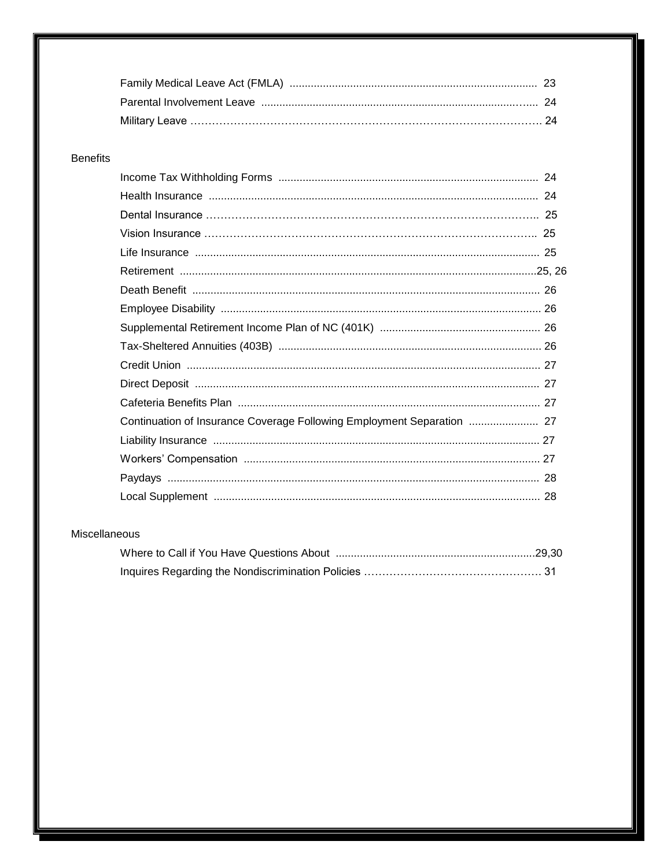| Parental Involvement Leave members have not an according to the 24 |  |
|--------------------------------------------------------------------|--|
|                                                                    |  |

#### **Benefits**

| Continuation of Insurance Coverage Following Employment Separation  27 |  |
|------------------------------------------------------------------------|--|
|                                                                        |  |
|                                                                        |  |
|                                                                        |  |
|                                                                        |  |

#### Miscellaneous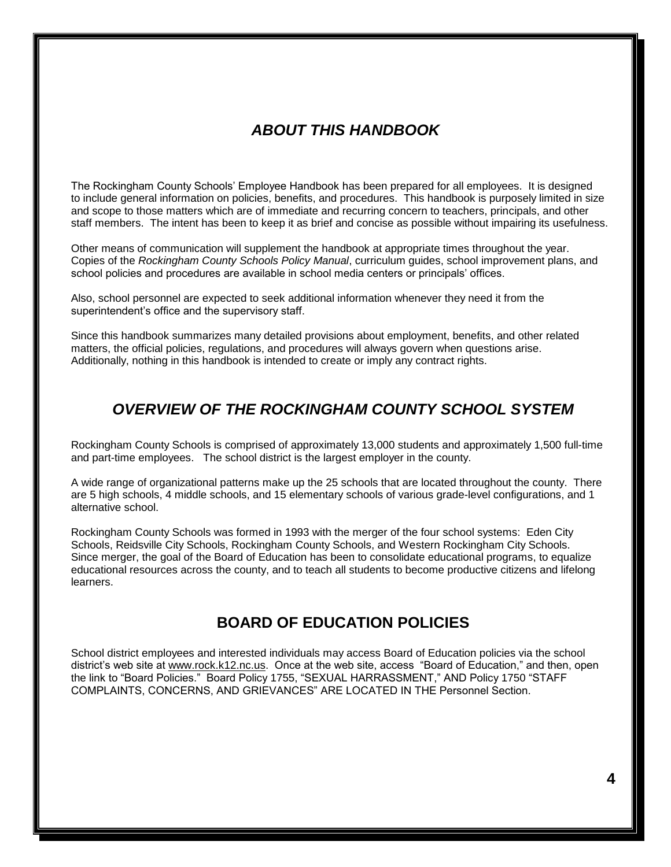# *ABOUT THIS HANDBOOK*

The Rockingham County Schools' Employee Handbook has been prepared for all employees. It is designed to include general information on policies, benefits, and procedures. This handbook is purposely limited in size and scope to those matters which are of immediate and recurring concern to teachers, principals, and other staff members. The intent has been to keep it as brief and concise as possible without impairing its usefulness.

Other means of communication will supplement the handbook at appropriate times throughout the year. Copies of the *Rockingham County Schools Policy Manual*, curriculum guides, school improvement plans, and school policies and procedures are available in school media centers or principals' offices.

Also, school personnel are expected to seek additional information whenever they need it from the superintendent's office and the supervisory staff.

Since this handbook summarizes many detailed provisions about employment, benefits, and other related matters, the official policies, regulations, and procedures will always govern when questions arise. Additionally, nothing in this handbook is intended to create or imply any contract rights.

#### *OVERVIEW OF THE ROCKINGHAM COUNTY SCHOOL SYSTEM*

Rockingham County Schools is comprised of approximately 13,000 students and approximately 1,500 full-time and part-time employees. The school district is the largest employer in the county.

A wide range of organizational patterns make up the 25 schools that are located throughout the county. There are 5 high schools, 4 middle schools, and 15 elementary schools of various grade-level configurations, and 1 alternative school.

Rockingham County Schools was formed in 1993 with the merger of the four school systems: Eden City Schools, Reidsville City Schools, Rockingham County Schools, and Western Rockingham City Schools. Since merger, the goal of the Board of Education has been to consolidate educational programs, to equalize educational resources across the county, and to teach all students to become productive citizens and lifelong learners.

#### **BOARD OF EDUCATION POLICIES**

School district employees and interested individuals may access Board of Education policies via the school district's web site at www.rock.k12.nc.us. Once at the web site, access "Board of Education," and then, open the link to "Board Policies." Board Policy 1755, "SEXUAL HARRASSMENT," AND Policy 1750 "STAFF COMPLAINTS, CONCERNS, AND GRIEVANCES" ARE LOCATED IN THE Personnel Section.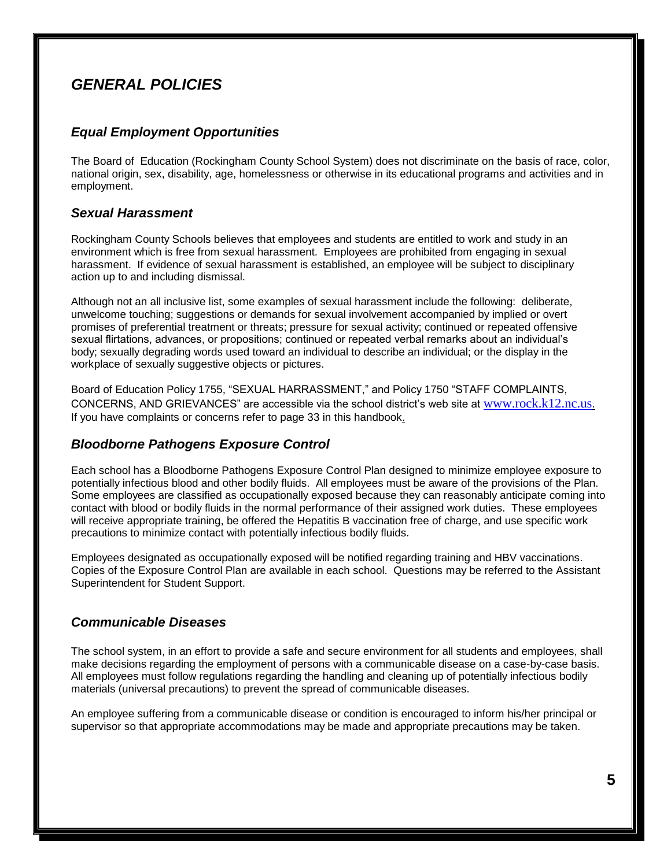# *GENERAL POLICIES*

#### *Equal Employment Opportunities*

The Board of Education (Rockingham County School System) does not discriminate on the basis of race, color, national origin, sex, disability, age, homelessness or otherwise in its educational programs and activities and in employment.

#### *Sexual Harassment*

Rockingham County Schools believes that employees and students are entitled to work and study in an environment which is free from sexual harassment. Employees are prohibited from engaging in sexual harassment. If evidence of sexual harassment is established, an employee will be subject to disciplinary action up to and including dismissal.

Although not an all inclusive list, some examples of sexual harassment include the following: deliberate, unwelcome touching; suggestions or demands for sexual involvement accompanied by implied or overt promises of preferential treatment or threats; pressure for sexual activity; continued or repeated offensive sexual flirtations, advances, or propositions; continued or repeated verbal remarks about an individual's body; sexually degrading words used toward an individual to describe an individual; or the display in the workplace of sexually suggestive objects or pictures.

Board of Education Policy 1755, "SEXUAL HARRASSMENT," and Policy 1750 "STAFF COMPLAINTS, CONCERNS, AND GRIEVANCES" are accessible via the school district's web site at [www.rock.k12.nc.us](http://www.rock.k12.nc.us/). If you have complaints or concerns refer to page 33 in this handbook.

#### *Bloodborne Pathogens Exposure Control*

Each school has a Bloodborne Pathogens Exposure Control Plan designed to minimize employee exposure to potentially infectious blood and other bodily fluids. All employees must be aware of the provisions of the Plan. Some employees are classified as occupationally exposed because they can reasonably anticipate coming into contact with blood or bodily fluids in the normal performance of their assigned work duties. These employees will receive appropriate training, be offered the Hepatitis B vaccination free of charge, and use specific work precautions to minimize contact with potentially infectious bodily fluids.

Employees designated as occupationally exposed will be notified regarding training and HBV vaccinations. Copies of the Exposure Control Plan are available in each school. Questions may be referred to the Assistant Superintendent for Student Support.

#### *Communicable Diseases*

The school system, in an effort to provide a safe and secure environment for all students and employees, shall make decisions regarding the employment of persons with a communicable disease on a case-by-case basis. All employees must follow regulations regarding the handling and cleaning up of potentially infectious bodily materials (universal precautions) to prevent the spread of communicable diseases.

An employee suffering from a communicable disease or condition is encouraged to inform his/her principal or supervisor so that appropriate accommodations may be made and appropriate precautions may be taken.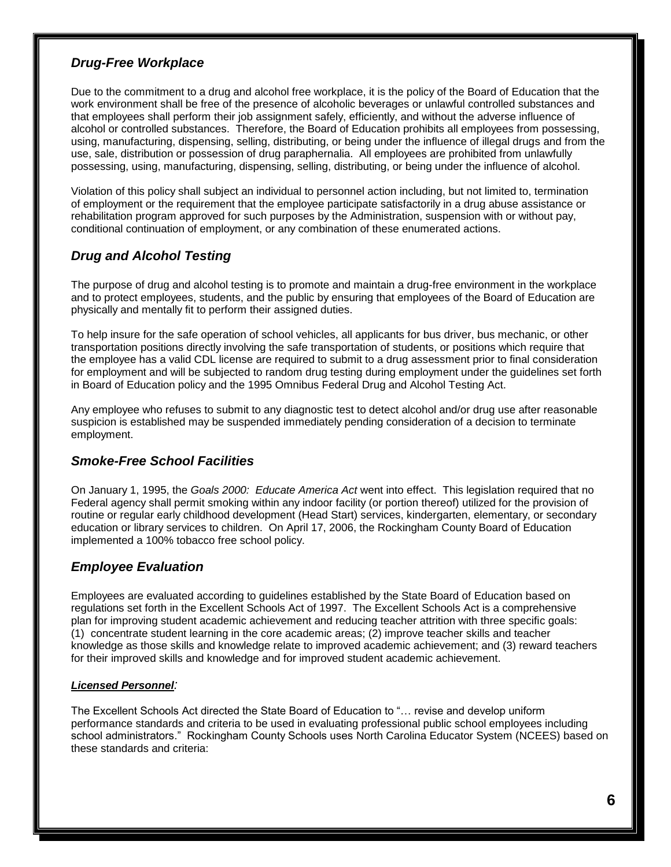#### *Drug-Free Workplace*

Due to the commitment to a drug and alcohol free workplace, it is the policy of the Board of Education that the work environment shall be free of the presence of alcoholic beverages or unlawful controlled substances and that employees shall perform their job assignment safely, efficiently, and without the adverse influence of alcohol or controlled substances. Therefore, the Board of Education prohibits all employees from possessing, using, manufacturing, dispensing, selling, distributing, or being under the influence of illegal drugs and from the use, sale, distribution or possession of drug paraphernalia. All employees are prohibited from unlawfully possessing, using, manufacturing, dispensing, selling, distributing, or being under the influence of alcohol.

Violation of this policy shall subject an individual to personnel action including, but not limited to, termination of employment or the requirement that the employee participate satisfactorily in a drug abuse assistance or rehabilitation program approved for such purposes by the Administration, suspension with or without pay, conditional continuation of employment, or any combination of these enumerated actions.

#### *Drug and Alcohol Testing*

The purpose of drug and alcohol testing is to promote and maintain a drug-free environment in the workplace and to protect employees, students, and the public by ensuring that employees of the Board of Education are physically and mentally fit to perform their assigned duties.

To help insure for the safe operation of school vehicles, all applicants for bus driver, bus mechanic, or other transportation positions directly involving the safe transportation of students, or positions which require that the employee has a valid CDL license are required to submit to a drug assessment prior to final consideration for employment and will be subjected to random drug testing during employment under the guidelines set forth in Board of Education policy and the 1995 Omnibus Federal Drug and Alcohol Testing Act.

Any employee who refuses to submit to any diagnostic test to detect alcohol and/or drug use after reasonable suspicion is established may be suspended immediately pending consideration of a decision to terminate employment.

#### *Smoke-Free School Facilities*

On January 1, 1995, the *Goals 2000: Educate America Act* went into effect. This legislation required that no Federal agency shall permit smoking within any indoor facility (or portion thereof) utilized for the provision of routine or regular early childhood development (Head Start) services, kindergarten, elementary, or secondary education or library services to children. On April 17, 2006, the Rockingham County Board of Education implemented a 100% tobacco free school policy.

#### *Employee Evaluation*

Employees are evaluated according to guidelines established by the State Board of Education based on regulations set forth in the Excellent Schools Act of 1997. The Excellent Schools Act is a comprehensive plan for improving student academic achievement and reducing teacher attrition with three specific goals: (1) concentrate student learning in the core academic areas; (2) improve teacher skills and teacher knowledge as those skills and knowledge relate to improved academic achievement; and (3) reward teachers for their improved skills and knowledge and for improved student academic achievement.

#### *Licensed Personnel:*

The Excellent Schools Act directed the State Board of Education to "… revise and develop uniform performance standards and criteria to be used in evaluating professional public school employees including school administrators." Rockingham County Schools uses North Carolina Educator System (NCEES) based on these standards and criteria: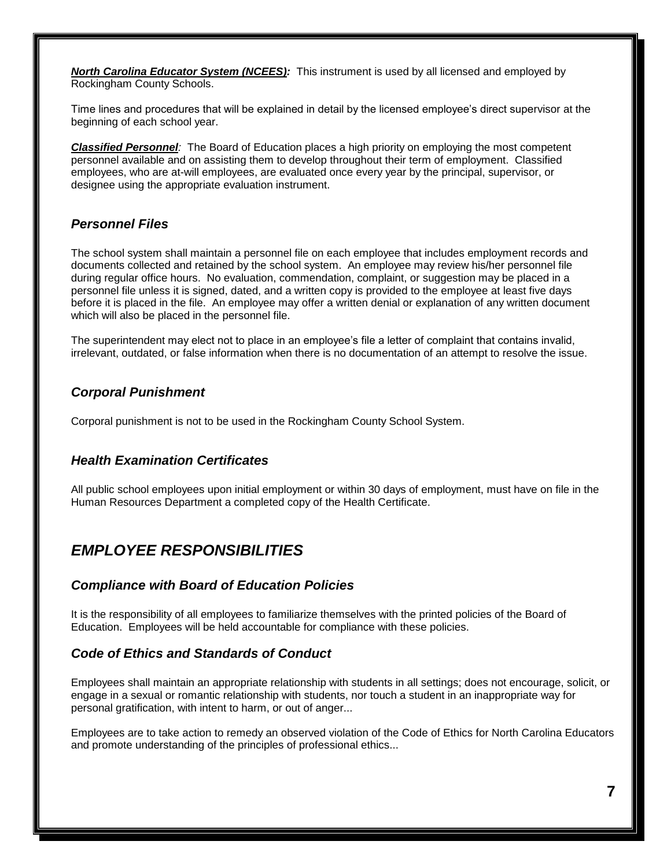*North Carolina Educator System (NCEES):* This instrument is used by all licensed and employed by Rockingham County Schools.

Time lines and procedures that will be explained in detail by the licensed employee's direct supervisor at the beginning of each school year.

*Classified Personnel:* The Board of Education places a high priority on employing the most competent personnel available and on assisting them to develop throughout their term of employment. Classified employees, who are at-will employees, are evaluated once every year by the principal, supervisor, or designee using the appropriate evaluation instrument.

#### *Personnel Files*

The school system shall maintain a personnel file on each employee that includes employment records and documents collected and retained by the school system. An employee may review his/her personnel file during regular office hours. No evaluation, commendation, complaint, or suggestion may be placed in a personnel file unless it is signed, dated, and a written copy is provided to the employee at least five days before it is placed in the file. An employee may offer a written denial or explanation of any written document which will also be placed in the personnel file.

The superintendent may elect not to place in an employee's file a letter of complaint that contains invalid, irrelevant, outdated, or false information when there is no documentation of an attempt to resolve the issue.

#### *Corporal Punishment*

Corporal punishment is not to be used in the Rockingham County School System.

#### *Health Examination Certificates*

All public school employees upon initial employment or within 30 days of employment, must have on file in the Human Resources Department a completed copy of the Health Certificate.

#### *EMPLOYEE RESPONSIBILITIES*

#### *Compliance with Board of Education Policies*

It is the responsibility of all employees to familiarize themselves with the printed policies of the Board of Education. Employees will be held accountable for compliance with these policies.

#### *Code of Ethics and Standards of Conduct*

Employees shall maintain an appropriate relationship with students in all settings; does not encourage, solicit, or engage in a sexual or romantic relationship with students, nor touch a student in an inappropriate way for personal gratification, with intent to harm, or out of anger...

Employees are to take action to remedy an observed violation of the Code of Ethics for North Carolina Educators and promote understanding of the principles of professional ethics...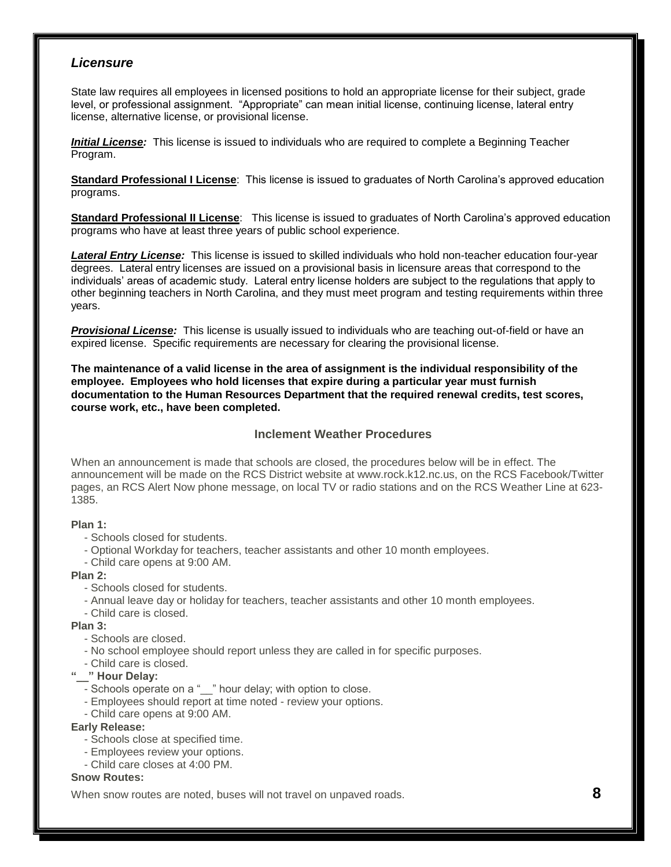#### *Licensure*

State law requires all employees in licensed positions to hold an appropriate license for their subject, grade level, or professional assignment. "Appropriate" can mean initial license, continuing license, lateral entry license, alternative license, or provisional license.

*Initial License:* This license is issued to individuals who are required to complete a Beginning Teacher Program.

**Standard Professional I License**: This license is issued to graduates of North Carolina's approved education programs.

**Standard Professional II License**: This license is issued to graduates of North Carolina's approved education programs who have at least three years of public school experience.

*Lateral Entry License:* This license is issued to skilled individuals who hold non-teacher education four-year degrees. Lateral entry licenses are issued on a provisional basis in licensure areas that correspond to the individuals' areas of academic study. Lateral entry license holders are subject to the regulations that apply to other beginning teachers in North Carolina, and they must meet program and testing requirements within three years.

*Provisional License:* This license is usually issued to individuals who are teaching out-of-field or have an expired license. Specific requirements are necessary for clearing the provisional license.

**The maintenance of a valid license in the area of assignment is the individual responsibility of the employee. Employees who hold licenses that expire during a particular year must furnish documentation to the Human Resources Department that the required renewal credits, test scores, course work, etc., have been completed.**

#### **Inclement Weather Procedures**

When an announcement is made that schools are closed, the procedures below will be in effect. The announcement will be made on the RCS District website at www.rock.k12.nc.us, on the RCS Facebook/Twitter pages, an RCS Alert Now phone message, on local TV or radio stations and on the RCS Weather Line at 623- 1385.

#### **Plan 1:**

- Schools closed for students.
- Optional Workday for teachers, teacher assistants and other 10 month employees.
- Child care opens at 9:00 AM.

#### **Plan 2:**

- Schools closed for students.
- Annual leave day or holiday for teachers, teacher assistants and other 10 month employees.
- Child care is closed.

**Plan 3:**

- Schools are closed.
- No school employee should report unless they are called in for specific purposes.
- Child care is closed.
- **"\_\_" Hour Delay:**
	- Schools operate on a "\_" hour delay; with option to close.
	- Employees should report at time noted review your options.
	- Child care opens at 9:00 AM.

#### **Early Release:**

- Schools close at specified time.
- Employees review your options.
- Child care closes at 4:00 PM.

#### **Snow Routes:**

When snow routes are noted, buses will not travel on unpaved roads. **8**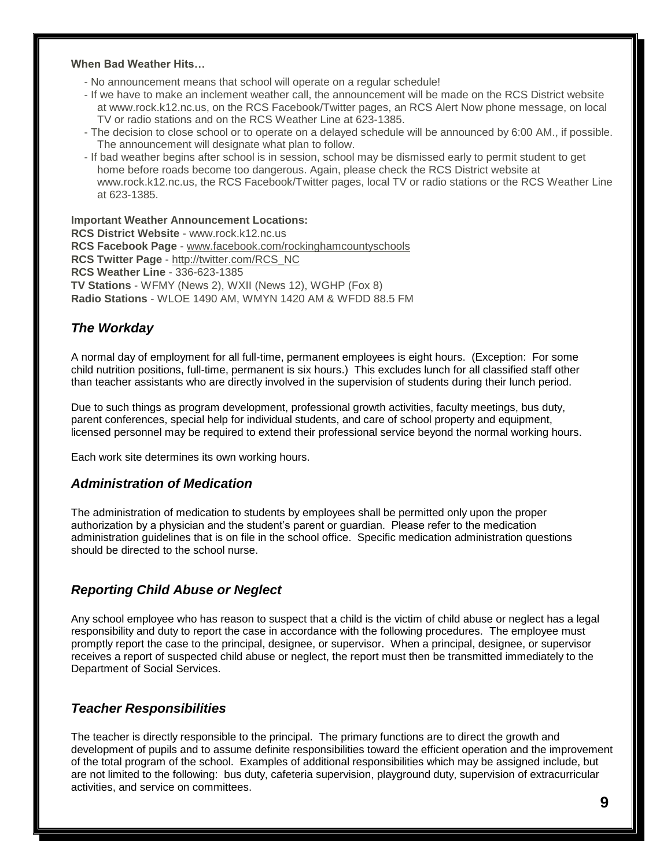#### **When Bad Weather Hits…**

- No announcement means that school will operate on a regular schedule!

- If we have to make an inclement weather call, the announcement will be made on the RCS District website at www.rock.k12.nc.us, on the RCS Facebook/Twitter pages, an RCS Alert Now phone message, on local TV or radio stations and on the RCS Weather Line at 623-1385.
- The decision to close school or to operate on a delayed schedule will be announced by 6:00 AM., if possible. The announcement will designate what plan to follow.
- If bad weather begins after school is in session, school may be dismissed early to permit student to get home before roads become too dangerous. Again, please check the RCS District website at www.rock.k12.nc.us, the RCS Facebook/Twitter pages, local TV or radio stations or the RCS Weather Line at 623-1385.

**Important Weather Announcement Locations: RCS District Website** - www.rock.k12.nc.us **RCS Facebook Page** - [www.facebook.com/rockinghamcountyschools](http://www.facebook.com/rockinghamcountyschools) **RCS Twitter Page** - [http://twitter.com/RCS\\_NC](http://twitter.com/RCS_NC) **RCS Weather Line** - 336-623-1385 **TV Stations** - WFMY (News 2), WXII (News 12), WGHP (Fox 8) **Radio Stations** - WLOE 1490 AM, WMYN 1420 AM & WFDD 88.5 FM

#### *The Workday*

A normal day of employment for all full-time, permanent employees is eight hours. (Exception: For some child nutrition positions, full-time, permanent is six hours.) This excludes lunch for all classified staff other than teacher assistants who are directly involved in the supervision of students during their lunch period.

Due to such things as program development, professional growth activities, faculty meetings, bus duty, parent conferences, special help for individual students, and care of school property and equipment, licensed personnel may be required to extend their professional service beyond the normal working hours.

Each work site determines its own working hours.

#### *Administration of Medication*

The administration of medication to students by employees shall be permitted only upon the proper authorization by a physician and the student's parent or guardian. Please refer to the medication administration guidelines that is on file in the school office. Specific medication administration questions should be directed to the school nurse.

#### *Reporting Child Abuse or Neglect*

Any school employee who has reason to suspect that a child is the victim of child abuse or neglect has a legal responsibility and duty to report the case in accordance with the following procedures.The employee must promptly report the case to the principal, designee, or supervisor. When a principal, designee, or supervisor receives a report of suspected child abuse or neglect, the report must then be transmitted immediately to the Department of Social Services.

#### *Teacher Responsibilities*

The teacher is directly responsible to the principal. The primary functions are to direct the growth and development of pupils and to assume definite responsibilities toward the efficient operation and the improvement of the total program of the school. Examples of additional responsibilities which may be assigned include, but are not limited to the following: bus duty, cafeteria supervision, playground duty, supervision of extracurricular activities, and service on committees.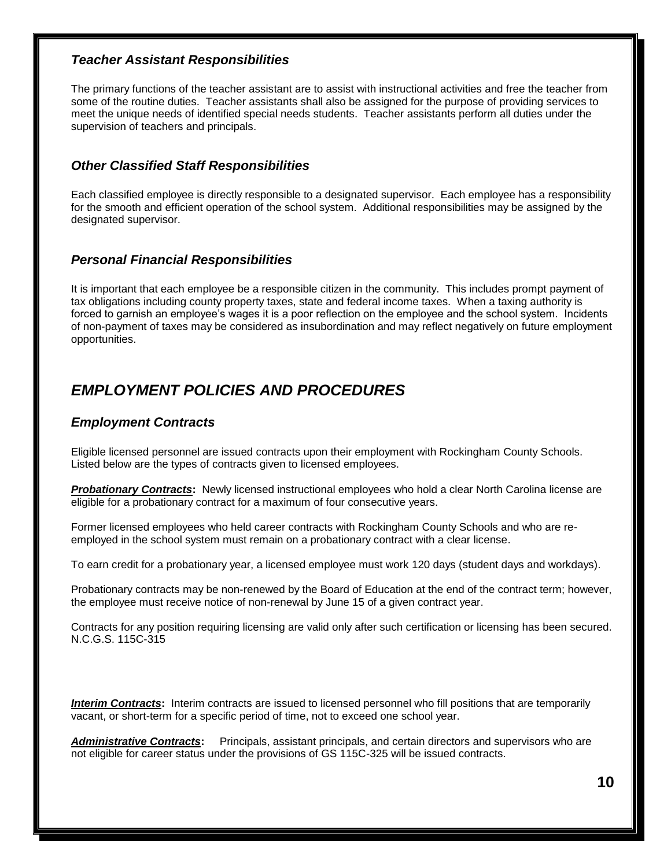#### *Teacher Assistant Responsibilities*

The primary functions of the teacher assistant are to assist with instructional activities and free the teacher from some of the routine duties. Teacher assistants shall also be assigned for the purpose of providing services to meet the unique needs of identified special needs students. Teacher assistants perform all duties under the supervision of teachers and principals.

#### *Other Classified Staff Responsibilities*

Each classified employee is directly responsible to a designated supervisor. Each employee has a responsibility for the smooth and efficient operation of the school system. Additional responsibilities may be assigned by the designated supervisor.

#### *Personal Financial Responsibilities*

It is important that each employee be a responsible citizen in the community. This includes prompt payment of tax obligations including county property taxes, state and federal income taxes. When a taxing authority is forced to garnish an employee's wages it is a poor reflection on the employee and the school system. Incidents of non-payment of taxes may be considered as insubordination and may reflect negatively on future employment opportunities.

# *EMPLOYMENT POLICIES AND PROCEDURES*

#### *Employment Contracts*

Eligible licensed personnel are issued contracts upon their employment with Rockingham County Schools. Listed below are the types of contracts given to licensed employees.

*Probationary Contracts***:** Newly licensed instructional employees who hold a clear North Carolina license are eligible for a probationary contract for a maximum of four consecutive years.

Former licensed employees who held career contracts with Rockingham County Schools and who are reemployed in the school system must remain on a probationary contract with a clear license.

To earn credit for a probationary year, a licensed employee must work 120 days (student days and workdays).

Probationary contracts may be non-renewed by the Board of Education at the end of the contract term; however, the employee must receive notice of non-renewal by June 15 of a given contract year.

Contracts for any position requiring licensing are valid only after such certification or licensing has been secured. N.C.G.S. 115C-315

*Interim Contracts***:** Interim contracts are issued to licensed personnel who fill positions that are temporarily vacant, or short-term for a specific period of time, not to exceed one school year.

*Administrative Contracts***:** Principals, assistant principals, and certain directors and supervisors who are not eligible for career status under the provisions of GS 115C-325 will be issued contracts.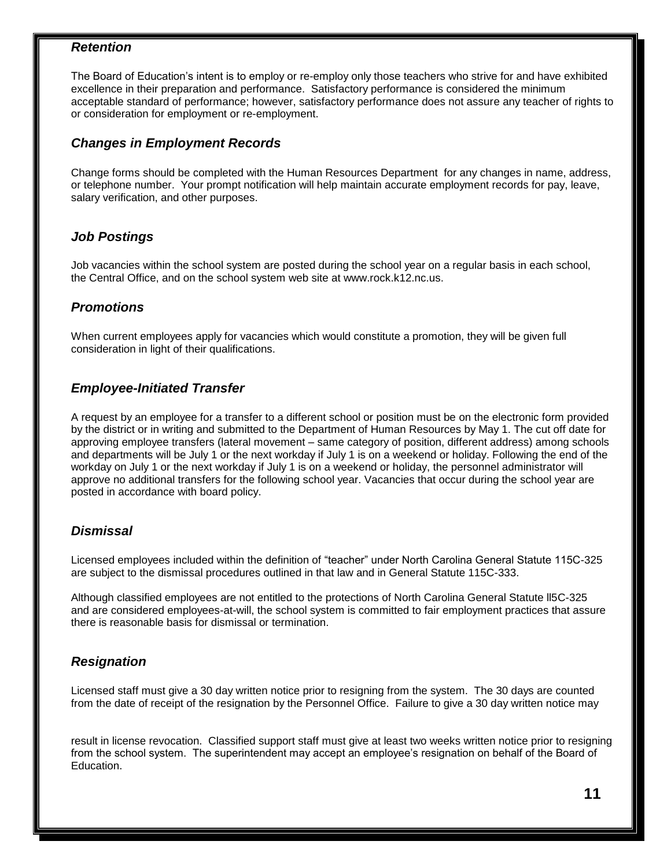#### *Retention*

The Board of Education's intent is to employ or re-employ only those teachers who strive for and have exhibited excellence in their preparation and performance. Satisfactory performance is considered the minimum acceptable standard of performance; however, satisfactory performance does not assure any teacher of rights to or consideration for employment or re-employment.

#### *Changes in Employment Records*

Change forms should be completed with the Human Resources Department for any changes in name, address, or telephone number. Your prompt notification will help maintain accurate employment records for pay, leave, salary verification, and other purposes.

#### *Job Postings*

Job vacancies within the school system are posted during the school year on a regular basis in each school, the Central Office, and on the school system web site at www.rock.k12.nc.us.

#### *Promotions*

When current employees apply for vacancies which would constitute a promotion, they will be given full consideration in light of their qualifications.

#### *Employee-Initiated Transfer*

A request by an employee for a transfer to a different school or position must be on the electronic form provided by the district or in writing and submitted to the Department of Human Resources by May 1. The cut off date for approving employee transfers (lateral movement – same category of position, different address) among schools and departments will be July 1 or the next workday if July 1 is on a weekend or holiday. Following the end of the workday on July 1 or the next workday if July 1 is on a weekend or holiday, the personnel administrator will approve no additional transfers for the following school year. Vacancies that occur during the school year are posted in accordance with board policy.

#### *Dismissal*

Licensed employees included within the definition of "teacher" under North Carolina General Statute 115C-325 are subject to the dismissal procedures outlined in that law and in General Statute 115C-333.

Although classified employees are not entitled to the protections of North Carolina General Statute ll5C-325 and are considered employees-at-will, the school system is committed to fair employment practices that assure there is reasonable basis for dismissal or termination.

#### *Resignation*

Licensed staff must give a 30 day written notice prior to resigning from the system. The 30 days are counted from the date of receipt of the resignation by the Personnel Office. Failure to give a 30 day written notice may

result in license revocation. Classified support staff must give at least two weeks written notice prior to resigning from the school system. The superintendent may accept an employee's resignation on behalf of the Board of Education.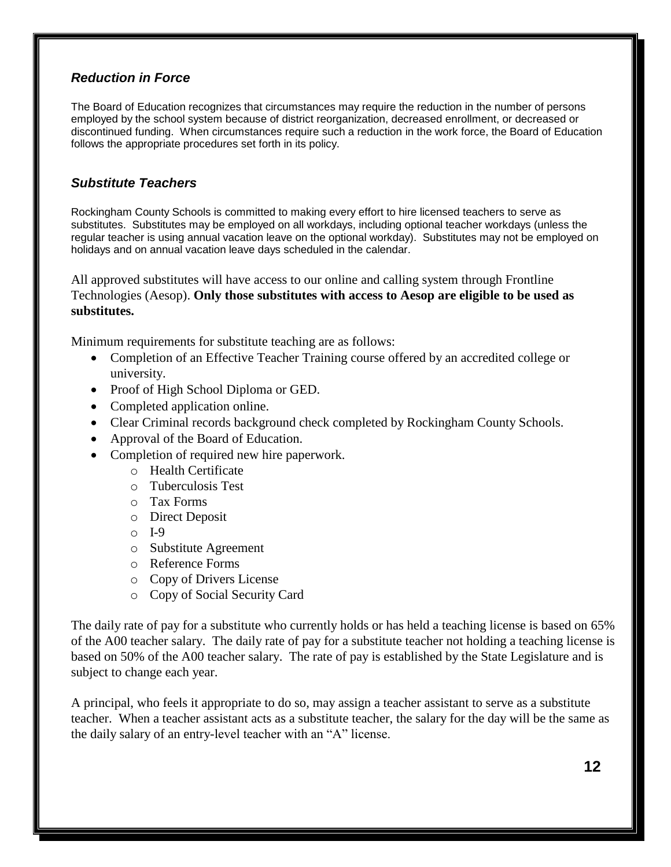#### *Reduction in Force*

The Board of Education recognizes that circumstances may require the reduction in the number of persons employed by the school system because of district reorganization, decreased enrollment, or decreased or discontinued funding. When circumstances require such a reduction in the work force, the Board of Education follows the appropriate procedures set forth in its policy.

#### *Substitute Teachers*

Rockingham County Schools is committed to making every effort to hire licensed teachers to serve as substitutes. Substitutes may be employed on all workdays, including optional teacher workdays (unless the regular teacher is using annual vacation leave on the optional workday). Substitutes may not be employed on holidays and on annual vacation leave days scheduled in the calendar.

All approved substitutes will have access to our online and calling system through Frontline Technologies (Aesop). **Only those substitutes with access to Aesop are eligible to be used as substitutes.**

Minimum requirements for substitute teaching are as follows:

- Completion of an Effective Teacher Training course offered by an accredited college or university.
- Proof of High School Diploma or GED.
- Completed application online.
- Clear Criminal records background check completed by Rockingham County Schools.
- Approval of the Board of Education.
- Completion of required new hire paperwork.
	- o Health Certificate
	- o Tuberculosis Test
	- o Tax Forms
	- o Direct Deposit
	- o I-9
	- o Substitute Agreement
	- o Reference Forms
	- o Copy of Drivers License
	- o Copy of Social Security Card

The daily rate of pay for a substitute who currently holds or has held a teaching license is based on 65% of the A00 teacher salary. The daily rate of pay for a substitute teacher not holding a teaching license is based on 50% of the A00 teacher salary. The rate of pay is established by the State Legislature and is subject to change each year.

A principal, who feels it appropriate to do so, may assign a teacher assistant to serve as a substitute teacher. When a teacher assistant acts as a substitute teacher, the salary for the day will be the same as the daily salary of an entry-level teacher with an "A" license.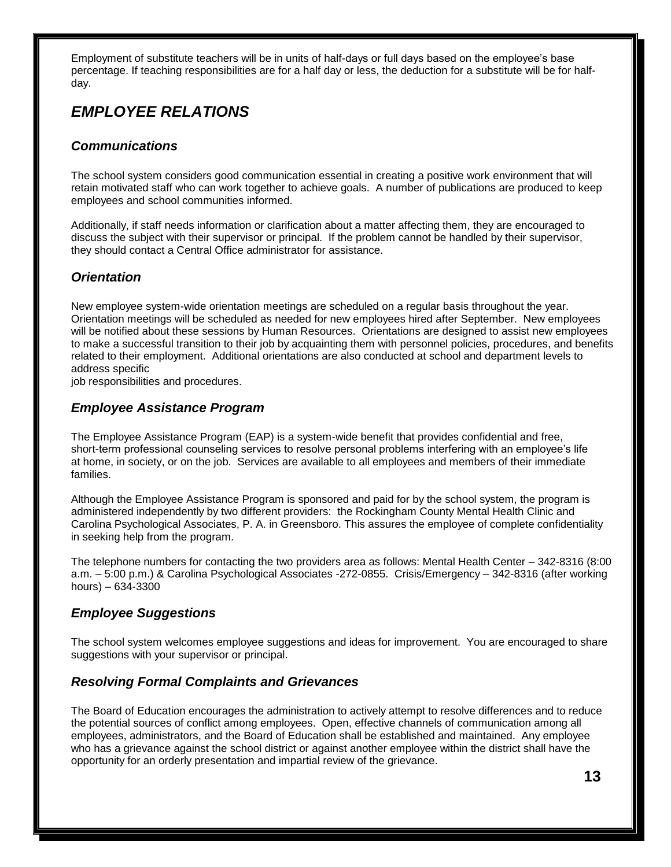Employment of substitute teachers will be in units of half-days or full days based on the employee's base percentage. If teaching responsibilities are for a half day or less, the deduction for a substitute will be for halfday.

# *EMPLOYEE RELATIONS*

#### *Communications*

The school system considers good communication essential in creating a positive work environment that will retain motivated staff who can work together to achieve goals. A number of publications are produced to keep employees and school communities informed.

Additionally, if staff needs information or clarification about a matter affecting them, they are encouraged to discuss the subject with their supervisor or principal. If the problem cannot be handled by their supervisor, they should contact a Central Office administrator for assistance.

#### *Orientation*

New employee system-wide orientation meetings are scheduled on a regular basis throughout the year. Orientation meetings will be scheduled as needed for new employees hired after September. New employees will be notified about these sessions by Human Resources. Orientations are designed to assist new employees to make a successful transition to their job by acquainting them with personnel policies, procedures, and benefits related to their employment. Additional orientations are also conducted at school and department levels to address specific

job responsibilities and procedures.

#### *Employee Assistance Program*

The Employee Assistance Program (EAP) is a system-wide benefit that provides confidential and free, short-term professional counseling services to resolve personal problems interfering with an employee's life at home, in society, or on the job. Services are available to all employees and members of their immediate families.

Although the Employee Assistance Program is sponsored and paid for by the school system, the program is administered independently by two different providers: the Rockingham County Mental Health Clinic and Carolina Psychological Associates, P. A. in Greensboro. This assures the employee of complete confidentiality in seeking help from the program.

The telephone numbers for contacting the two providers area as follows: Mental Health Center – 342-8316 (8:00 a.m. – 5:00 p.m.) & Carolina Psychological Associates -272-0855. Crisis/Emergency – 342-8316 (after working hours) – 634-3300

#### *Employee Suggestions*

The school system welcomes employee suggestions and ideas for improvement. You are encouraged to share suggestions with your supervisor or principal.

#### *Resolving Formal Complaints and Grievances*

The Board of Education encourages the administration to actively attempt to resolve differences and to reduce the potential sources of conflict among employees. Open, effective channels of communication among all employees, administrators, and the Board of Education shall be established and maintained. Any employee who has a grievance against the school district or against another employee within the district shall have the opportunity for an orderly presentation and impartial review of the grievance.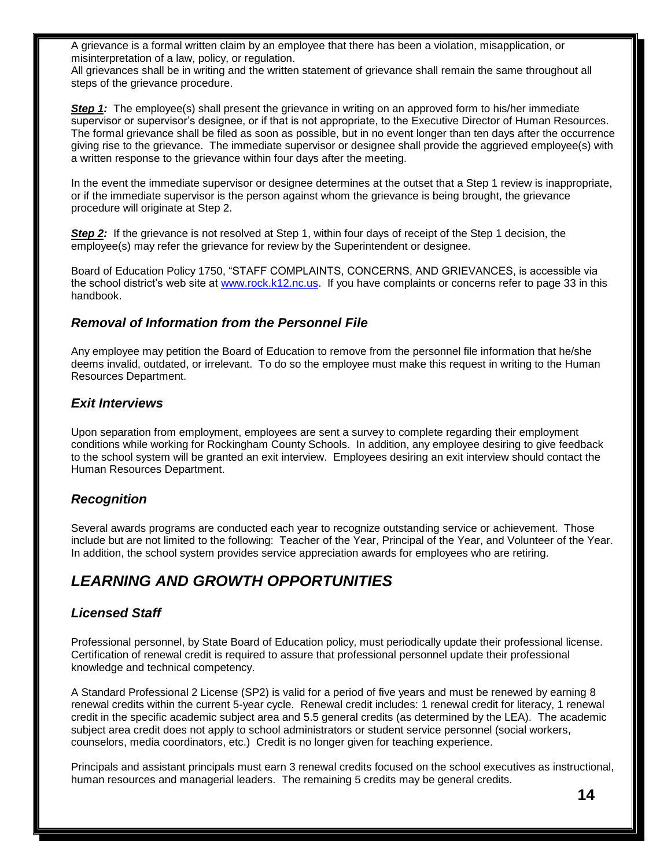A grievance is a formal written claim by an employee that there has been a violation, misapplication, or misinterpretation of a law, policy, or regulation.

All grievances shall be in writing and the written statement of grievance shall remain the same throughout all steps of the grievance procedure.

**Step 1:** The employee(s) shall present the grievance in writing on an approved form to his/her immediate supervisor or supervisor's designee, or if that is not appropriate, to the Executive Director of Human Resources. The formal grievance shall be filed as soon as possible, but in no event longer than ten days after the occurrence giving rise to the grievance. The immediate supervisor or designee shall provide the aggrieved employee(s) with a written response to the grievance within four days after the meeting.

In the event the immediate supervisor or designee determines at the outset that a Step 1 review is inappropriate, or if the immediate supervisor is the person against whom the grievance is being brought, the grievance procedure will originate at Step 2.

**Step 2:** If the grievance is not resolved at Step 1, within four days of receipt of the Step 1 decision, the employee(s) may refer the grievance for review by the Superintendent or designee.

Board of Education Policy 1750, "STAFF COMPLAINTS, CONCERNS, AND GRIEVANCES, is accessible via the school district's web site at [www.rock.k12.nc.us.](http://www.rock.k12.nc.us/) If you have complaints or concerns refer to page 33 in this handbook.

#### *Removal of Information from the Personnel File*

Any employee may petition the Board of Education to remove from the personnel file information that he/she deems invalid, outdated, or irrelevant. To do so the employee must make this request in writing to the Human Resources Department.

#### *Exit Interviews*

Upon separation from employment, employees are sent a survey to complete regarding their employment conditions while working for Rockingham County Schools. In addition, any employee desiring to give feedback to the school system will be granted an exit interview. Employees desiring an exit interview should contact the Human Resources Department.

#### *Recognition*

Several awards programs are conducted each year to recognize outstanding service or achievement. Those include but are not limited to the following: Teacher of the Year, Principal of the Year, and Volunteer of the Year. In addition, the school system provides service appreciation awards for employees who are retiring.

# *LEARNING AND GROWTH OPPORTUNITIES*

#### *Licensed Staff*

Professional personnel, by State Board of Education policy, must periodically update their professional license. Certification of renewal credit is required to assure that professional personnel update their professional knowledge and technical competency.

A Standard Professional 2 License (SP2) is valid for a period of five years and must be renewed by earning 8 renewal credits within the current 5-year cycle. Renewal credit includes: 1 renewal credit for literacy, 1 renewal credit in the specific academic subject area and 5.5 general credits (as determined by the LEA). The academic subject area credit does not apply to school administrators or student service personnel (social workers, counselors, media coordinators, etc.) Credit is no longer given for teaching experience.

Principals and assistant principals must earn 3 renewal credits focused on the school executives as instructional, human resources and managerial leaders. The remaining 5 credits may be general credits.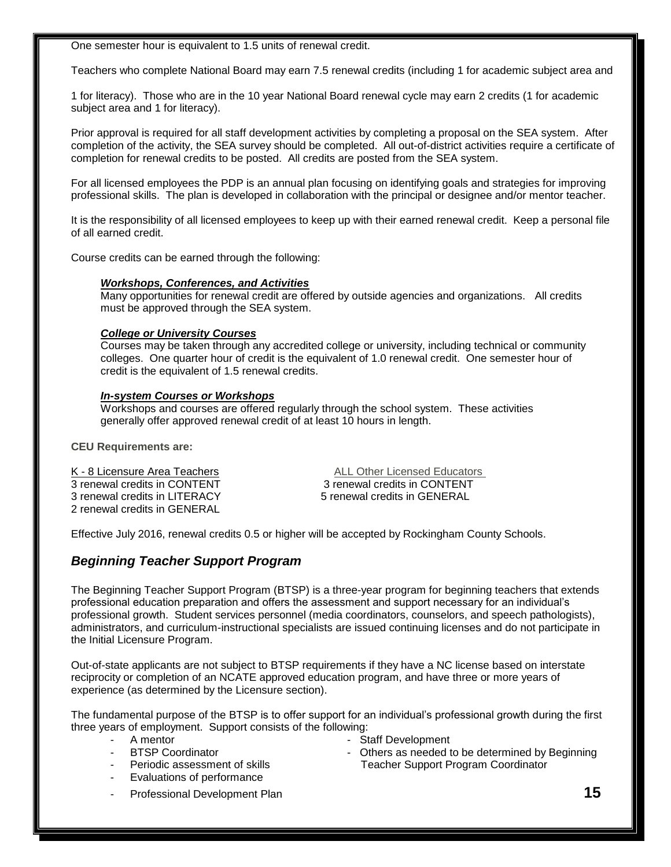One semester hour is equivalent to 1.5 units of renewal credit.

Teachers who complete National Board may earn 7.5 renewal credits (including 1 for academic subject area and

1 for literacy). Those who are in the 10 year National Board renewal cycle may earn 2 credits (1 for academic subject area and 1 for literacy).

Prior approval is required for all staff development activities by completing a proposal on the SEA system. After completion of the activity, the SEA survey should be completed. All out-of-district activities require a certificate of completion for renewal credits to be posted. All credits are posted from the SEA system.

For all licensed employees the PDP is an annual plan focusing on identifying goals and strategies for improving professional skills. The plan is developed in collaboration with the principal or designee and/or mentor teacher.

It is the responsibility of all licensed employees to keep up with their earned renewal credit. Keep a personal file of all earned credit.

Course credits can be earned through the following:

#### *Workshops, Conferences, and Activities*

Many opportunities for renewal credit are offered by outside agencies and organizations. All credits must be approved through the SEA system.

#### *College or University Courses*

Courses may be taken through any accredited college or university, including technical or community colleges. One quarter hour of credit is the equivalent of 1.0 renewal credit. One semester hour of credit is the equivalent of 1.5 renewal credits.

#### *In-system Courses or Workshops*

Workshops and courses are offered regularly through the school system. These activities generally offer approved renewal credit of at least 10 hours in length.

**CEU Requirements are:**

3 renewal credits in CONTENT 3 renewal credits in CONTENT 3 renewal credits in LITERACY 5 renewal credits in GENERAL 2 renewal credits in GENERAL

K - 8 Licensure Area Teachers **ALL Other Licensed Educators** ALL Other Licensed Educators

Effective July 2016, renewal credits 0.5 or higher will be accepted by Rockingham County Schools.

#### *Beginning Teacher Support Program*

The Beginning Teacher Support Program (BTSP) is a three-year program for beginning teachers that extends professional education preparation and offers the assessment and support necessary for an individual's professional growth. Student services personnel (media coordinators, counselors, and speech pathologists), administrators, and curriculum-instructional specialists are issued continuing licenses and do not participate in the Initial Licensure Program.

Out-of-state applicants are not subject to BTSP requirements if they have a NC license based on interstate reciprocity or completion of an NCATE approved education program, and have three or more years of experience (as determined by the Licensure section).

The fundamental purpose of the BTSP is to offer support for an individual's professional growth during the first three years of employment. Support consists of the following:

- 
- 
- 
- Evaluations of performance
- A mentor Camera Control Control of the Staff Development<br>BESP Coordinator Control of the State Others as needed to
- Others as needed to be determined by Beginning - Periodic assessment of skills Teacher Support Program Coordinator
- Professional Development Plan **15**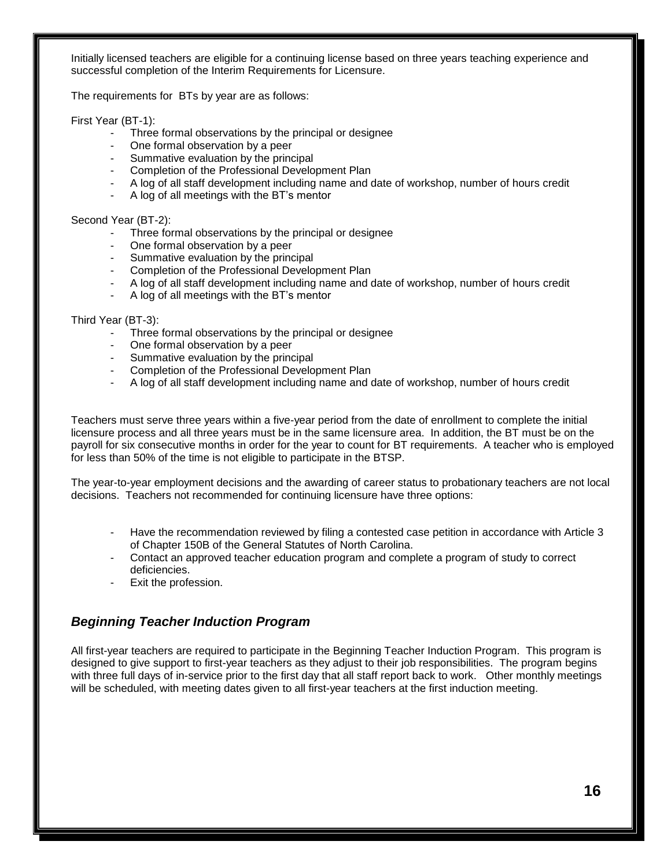Initially licensed teachers are eligible for a continuing license based on three years teaching experience and successful completion of the Interim Requirements for Licensure.

The requirements for BTs by year are as follows:

First Year (BT-1):

- Three formal observations by the principal or designee
- One formal observation by a peer
- Summative evaluation by the principal
- Completion of the Professional Development Plan
- A log of all staff development including name and date of workshop, number of hours credit
- A log of all meetings with the BT's mentor

Second Year (BT-2):

- Three formal observations by the principal or designee
- One formal observation by a peer
- Summative evaluation by the principal
- Completion of the Professional Development Plan
- A log of all staff development including name and date of workshop, number of hours credit
- A log of all meetings with the BT's mentor

Third Year (BT-3):

- Three formal observations by the principal or designee
- One formal observation by a peer
- Summative evaluation by the principal
- Completion of the Professional Development Plan
- A log of all staff development including name and date of workshop, number of hours credit

Teachers must serve three years within a five-year period from the date of enrollment to complete the initial licensure process and all three years must be in the same licensure area. In addition, the BT must be on the payroll for six consecutive months in order for the year to count for BT requirements. A teacher who is employed for less than 50% of the time is not eligible to participate in the BTSP.

The year-to-year employment decisions and the awarding of career status to probationary teachers are not local decisions. Teachers not recommended for continuing licensure have three options:

- Have the recommendation reviewed by filing a contested case petition in accordance with Article 3 of Chapter 150B of the General Statutes of North Carolina.
- Contact an approved teacher education program and complete a program of study to correct deficiencies.
- Exit the profession.

#### *Beginning Teacher Induction Program*

All first-year teachers are required to participate in the Beginning Teacher Induction Program. This program is designed to give support to first-year teachers as they adjust to their job responsibilities. The program begins with three full days of in-service prior to the first day that all staff report back to work. Other monthly meetings will be scheduled, with meeting dates given to all first-year teachers at the first induction meeting.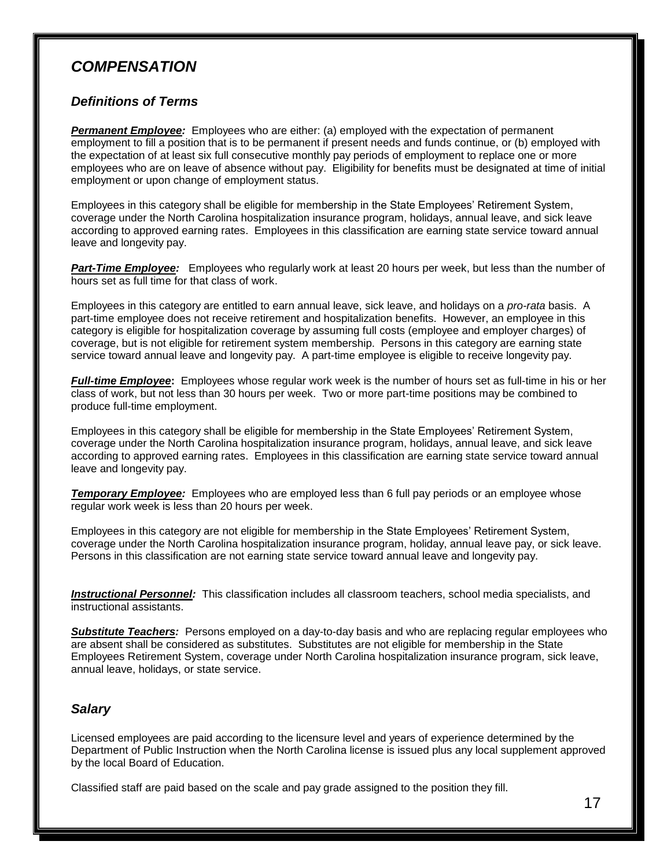### *COMPENSATION*

#### *Definitions of Terms*

**Permanent Employee:** Employees who are either: (a) employed with the expectation of permanent employment to fill a position that is to be permanent if present needs and funds continue, or (b) employed with the expectation of at least six full consecutive monthly pay periods of employment to replace one or more employees who are on leave of absence without pay. Eligibility for benefits must be designated at time of initial employment or upon change of employment status.

Employees in this category shall be eligible for membership in the State Employees' Retirement System, coverage under the North Carolina hospitalization insurance program, holidays, annual leave, and sick leave according to approved earning rates. Employees in this classification are earning state service toward annual leave and longevity pay.

*Part-Time Employee:* Employees who regularly work at least 20 hours per week, but less than the number of hours set as full time for that class of work.

Employees in this category are entitled to earn annual leave, sick leave, and holidays on a *pro-rata* basis. A part-time employee does not receive retirement and hospitalization benefits. However, an employee in this category is eligible for hospitalization coverage by assuming full costs (employee and employer charges) of coverage, but is not eligible for retirement system membership. Persons in this category are earning state service toward annual leave and longevity pay. A part-time employee is eligible to receive longevity pay.

*Full-time Employee***:** Employees whose regular work week is the number of hours set as full-time in his or her class of work, but not less than 30 hours per week. Two or more part-time positions may be combined to produce full-time employment.

Employees in this category shall be eligible for membership in the State Employees' Retirement System, coverage under the North Carolina hospitalization insurance program, holidays, annual leave, and sick leave according to approved earning rates. Employees in this classification are earning state service toward annual leave and longevity pay.

**Temporary Employee:** Employees who are employed less than 6 full pay periods or an employee whose regular work week is less than 20 hours per week.

Employees in this category are not eligible for membership in the State Employees' Retirement System, coverage under the North Carolina hospitalization insurance program, holiday, annual leave pay, or sick leave. Persons in this classification are not earning state service toward annual leave and longevity pay.

*Instructional Personnel:* This classification includes all classroom teachers, school media specialists, and instructional assistants.

**Substitute Teachers:** Persons employed on a day-to-day basis and who are replacing regular employees who are absent shall be considered as substitutes. Substitutes are not eligible for membership in the State Employees Retirement System, coverage under North Carolina hospitalization insurance program, sick leave, annual leave, holidays, or state service.

#### *Salary*

Licensed employees are paid according to the licensure level and years of experience determined by the Department of Public Instruction when the North Carolina license is issued plus any local supplement approved by the local Board of Education.

Classified staff are paid based on the scale and pay grade assigned to the position they fill.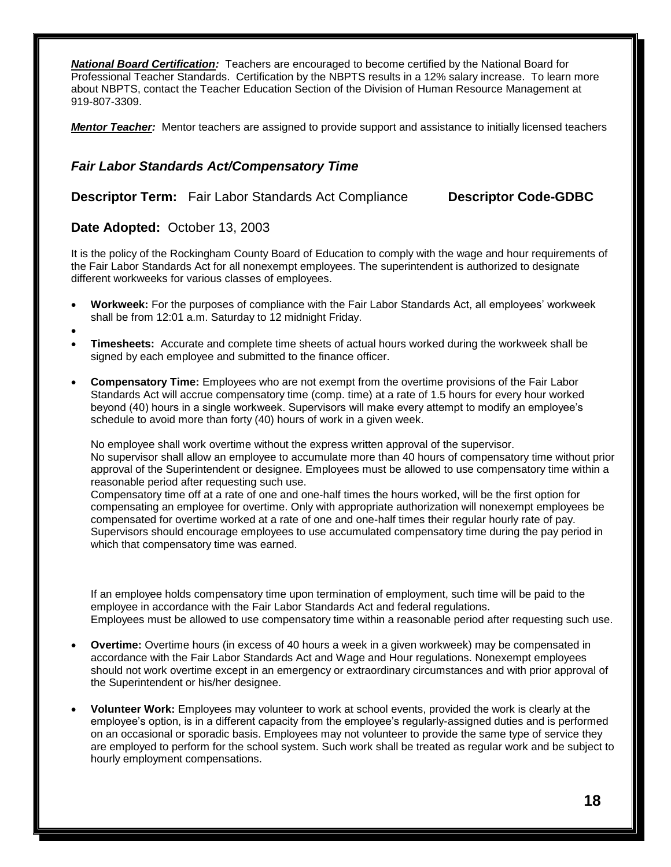*National Board Certification:* Teachers are encouraged to become certified by the National Board for Professional Teacher Standards. Certification by the NBPTS results in a 12% salary increase. To learn more about NBPTS, contact the Teacher Education Section of the Division of Human Resource Management at 919-807-3309.

*Mentor Teacher:* Mentor teachers are assigned to provide support and assistance to initially licensed teachers

#### *Fair Labor Standards Act/Compensatory Time*

**Descriptor Term:** Fair Labor Standards Act Compliance **Descriptor Code-GDBC**

#### **Date Adopted:** October 13, 2003

It is the policy of the Rockingham County Board of Education to comply with the wage and hour requirements of the Fair Labor Standards Act for all nonexempt employees. The superintendent is authorized to designate different workweeks for various classes of employees.

- **Workweek:** For the purposes of compliance with the Fair Labor Standards Act, all employees' workweek shall be from 12:01 a.m. Saturday to 12 midnight Friday.
- $\bullet$
- **Timesheets:** Accurate and complete time sheets of actual hours worked during the workweek shall be signed by each employee and submitted to the finance officer.
- **Compensatory Time:** Employees who are not exempt from the overtime provisions of the Fair Labor Standards Act will accrue compensatory time (comp. time) at a rate of 1.5 hours for every hour worked beyond (40) hours in a single workweek. Supervisors will make every attempt to modify an employee's schedule to avoid more than forty (40) hours of work in a given week.

No employee shall work overtime without the express written approval of the supervisor. No supervisor shall allow an employee to accumulate more than 40 hours of compensatory time without prior approval of the Superintendent or designee. Employees must be allowed to use compensatory time within a reasonable period after requesting such use.

Compensatory time off at a rate of one and one-half times the hours worked, will be the first option for compensating an employee for overtime. Only with appropriate authorization will nonexempt employees be compensated for overtime worked at a rate of one and one-half times their regular hourly rate of pay. Supervisors should encourage employees to use accumulated compensatory time during the pay period in which that compensatory time was earned.

If an employee holds compensatory time upon termination of employment, such time will be paid to the employee in accordance with the Fair Labor Standards Act and federal regulations. Employees must be allowed to use compensatory time within a reasonable period after requesting such use.

- **Overtime:** Overtime hours (in excess of 40 hours a week in a given workweek) may be compensated in accordance with the Fair Labor Standards Act and Wage and Hour regulations. Nonexempt employees should not work overtime except in an emergency or extraordinary circumstances and with prior approval of the Superintendent or his/her designee.
- **Volunteer Work:** Employees may volunteer to work at school events, provided the work is clearly at the employee's option, is in a different capacity from the employee's regularly-assigned duties and is performed on an occasional or sporadic basis. Employees may not volunteer to provide the same type of service they are employed to perform for the school system. Such work shall be treated as regular work and be subject to hourly employment compensations.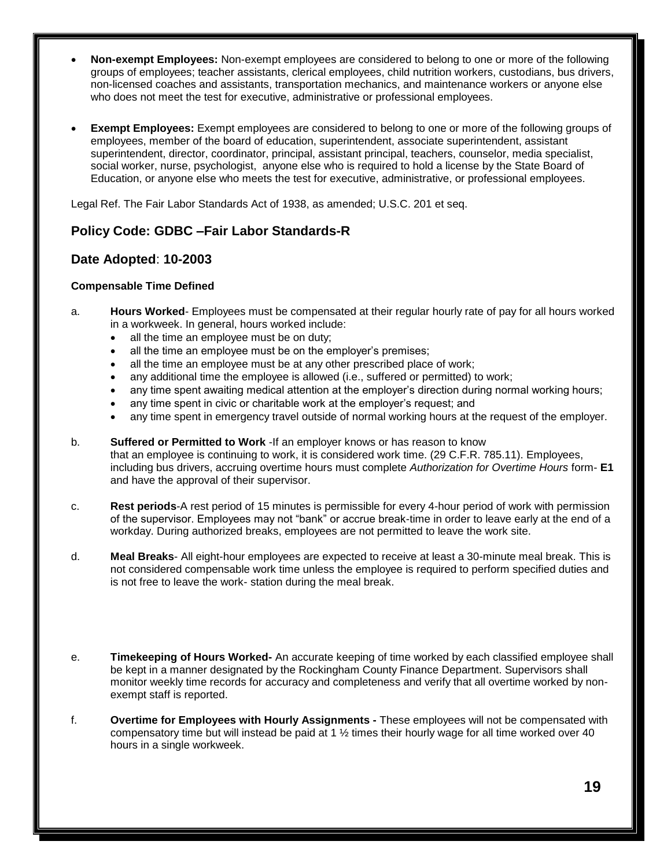- **Non-exempt Employees:** Non-exempt employees are considered to belong to one or more of the following groups of employees; teacher assistants, clerical employees, child nutrition workers, custodians, bus drivers, non-licensed coaches and assistants, transportation mechanics, and maintenance workers or anyone else who does not meet the test for executive, administrative or professional employees.
- **Exempt Employees:** Exempt employees are considered to belong to one or more of the following groups of employees, member of the board of education, superintendent, associate superintendent, assistant superintendent, director, coordinator, principal, assistant principal, teachers, counselor, media specialist, social worker, nurse, psychologist, anyone else who is required to hold a license by the State Board of Education, or anyone else who meets the test for executive, administrative, or professional employees.

Legal Ref. The Fair Labor Standards Act of 1938, as amended; U.S.C. 201 et seq.

#### **Policy Code: GDBC –Fair Labor Standards-R**

#### **Date Adopted**: **10-2003**

#### **Compensable Time Defined**

- a. **Hours Worked** Employees must be compensated at their regular hourly rate of pay for all hours worked in a workweek. In general, hours worked include:
	- all the time an employee must be on duty;
	- all the time an employee must be on the employer's premises;
	- all the time an employee must be at any other prescribed place of work;
	- any additional time the employee is allowed (i.e., suffered or permitted) to work;
	- any time spent awaiting medical attention at the employer's direction during normal working hours;
	- any time spent in civic or charitable work at the employer's request; and
	- any time spent in emergency travel outside of normal working hours at the request of the employer.
- b. **Suffered or Permitted to Work** -If an employer knows or has reason to know that an employee is continuing to work, it is considered work time. (29 C.F.R. 785.11). Employees, including bus drivers, accruing overtime hours must complete *Authorization for Overtime Hours* form- **E1** and have the approval of their supervisor.
- c. **Rest periods**-A rest period of 15 minutes is permissible for every 4-hour period of work with permission of the supervisor. Employees may not "bank" or accrue break-time in order to leave early at the end of a workday. During authorized breaks, employees are not permitted to leave the work site.
- d. **Meal Breaks** All eight-hour employees are expected to receive at least a 30-minute meal break. This is not considered compensable work time unless the employee is required to perform specified duties and is not free to leave the work- station during the meal break.
- e. **Timekeeping of Hours Worked-** An accurate keeping of time worked by each classified employee shall be kept in a manner designated by the Rockingham County Finance Department. Supervisors shall monitor weekly time records for accuracy and completeness and verify that all overtime worked by nonexempt staff is reported.
- f. **Overtime for Employees with Hourly Assignments -** These employees will not be compensated with compensatory time but will instead be paid at 1  $\frac{1}{2}$  times their hourly wage for all time worked over 40 hours in a single workweek.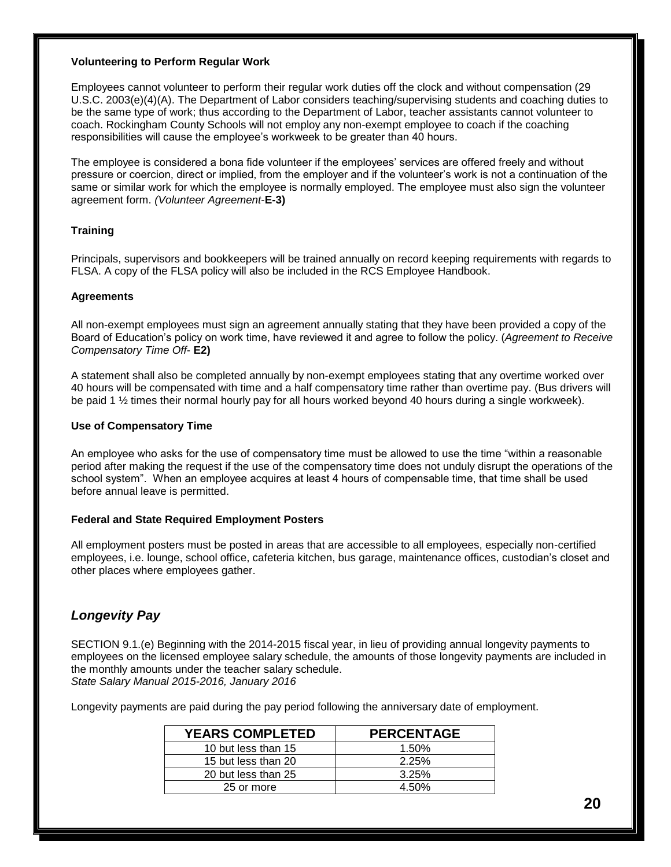#### **Volunteering to Perform Regular Work**

Employees cannot volunteer to perform their regular work duties off the clock and without compensation (29 U.S.C. 2003(e)(4)(A). The Department of Labor considers teaching/supervising students and coaching duties to be the same type of work; thus according to the Department of Labor, teacher assistants cannot volunteer to coach. Rockingham County Schools will not employ any non-exempt employee to coach if the coaching responsibilities will cause the employee's workweek to be greater than 40 hours.

The employee is considered a bona fide volunteer if the employees' services are offered freely and without pressure or coercion, direct or implied, from the employer and if the volunteer's work is not a continuation of the same or similar work for which the employee is normally employed. The employee must also sign the volunteer agreement form. *(Volunteer Agreement*-**E-3)**

#### **Training**

Principals, supervisors and bookkeepers will be trained annually on record keeping requirements with regards to FLSA. A copy of the FLSA policy will also be included in the RCS Employee Handbook.

#### **Agreements**

All non-exempt employees must sign an agreement annually stating that they have been provided a copy of the Board of Education's policy on work time, have reviewed it and agree to follow the policy. (*Agreement to Receive Compensatory Time Off*- **E2)**

A statement shall also be completed annually by non-exempt employees stating that any overtime worked over 40 hours will be compensated with time and a half compensatory time rather than overtime pay. (Bus drivers will be paid 1 ½ times their normal hourly pay for all hours worked beyond 40 hours during a single workweek).

#### **Use of Compensatory Time**

An employee who asks for the use of compensatory time must be allowed to use the time "within a reasonable period after making the request if the use of the compensatory time does not unduly disrupt the operations of the school system". When an employee acquires at least 4 hours of compensable time, that time shall be used before annual leave is permitted.

#### **Federal and State Required Employment Posters**

All employment posters must be posted in areas that are accessible to all employees, especially non-certified employees, i.e. lounge, school office, cafeteria kitchen, bus garage, maintenance offices, custodian's closet and other places where employees gather.

#### *Longevity Pay*

SECTION 9.1.(e) Beginning with the 2014-2015 fiscal year, in lieu of providing annual longevity payments to employees on the licensed employee salary schedule, the amounts of those longevity payments are included in the monthly amounts under the teacher salary schedule. *State Salary Manual 2015-2016, January 2016*

Longevity payments are paid during the pay period following the anniversary date of employment.

| <b>YEARS COMPLETED</b> | <b>PERCENTAGE</b> |
|------------------------|-------------------|
| 10 but less than 15    | 1.50%             |
| 15 but less than 20    | 2.25%             |
| 20 but less than 25    | $3.25\%$          |
| 25 or more             | 4.50%             |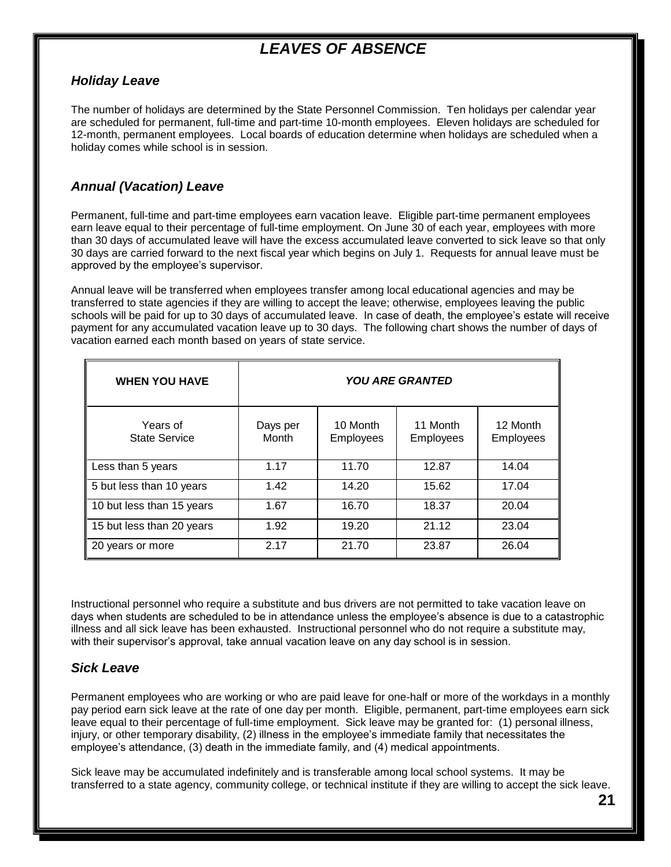# *LEAVES OF ABSENCE*

#### *Holiday Leave*

The number of holidays are determined by the State Personnel Commission. Ten holidays per calendar year are scheduled for permanent, full-time and part-time 10-month employees. Eleven holidays are scheduled for 12-month, permanent employees. Local boards of education determine when holidays are scheduled when a holiday comes while school is in session.

#### *Annual (Vacation) Leave*

Permanent, full-time and part-time employees earn vacation leave. Eligible part-time permanent employees earn leave equal to their percentage of full-time employment. On June 30 of each year, employees with more than 30 days of accumulated leave will have the excess accumulated leave converted to sick leave so that only 30 days are carried forward to the next fiscal year which begins on July 1. Requests for annual leave must be approved by the employee's supervisor.

Annual leave will be transferred when employees transfer among local educational agencies and may be transferred to state agencies if they are willing to accept the leave; otherwise, employees leaving the public schools will be paid for up to 30 days of accumulated leave. In case of death, the employee's estate will receive payment for any accumulated vacation leave up to 30 days. The following chart shows the number of days of vacation earned each month based on years of state service.

| <b>WHEN YOU HAVE</b>             | <b>YOU ARE GRANTED</b>   |                              |                       |                       |
|----------------------------------|--------------------------|------------------------------|-----------------------|-----------------------|
| Years of<br><b>State Service</b> | Days per<br><b>Month</b> | 10 Month<br><b>Employees</b> | 11 Month<br>Employees | 12 Month<br>Employees |
| Less than 5 years                | 1.17                     | 11.70                        | 12.87                 | 14.04                 |
| 5 but less than 10 years         | 1.42                     | 14.20                        | 15.62                 | 17.04                 |
| 10 but less than 15 years        | 1.67                     | 16.70                        | 18.37                 | 20.04                 |
| 15 but less than 20 years        | 1.92                     | 19.20                        | 21.12                 | 23.04                 |
| 20 years or more                 | 2.17                     | 21.70                        | 23.87                 | 26.04                 |

Instructional personnel who require a substitute and bus drivers are not permitted to take vacation leave on days when students are scheduled to be in attendance unless the employee's absence is due to a catastrophic illness and all sick leave has been exhausted. Instructional personnel who do not require a substitute may, with their supervisor's approval, take annual vacation leave on any day school is in session.

#### *Sick Leave*

Permanent employees who are working or who are paid leave for one-half or more of the workdays in a monthly pay period earn sick leave at the rate of one day per month. Eligible, permanent, part-time employees earn sick leave equal to their percentage of full-time employment. Sick leave may be granted for: (1) personal illness, injury, or other temporary disability, (2) illness in the employee's immediate family that necessitates the employee's attendance, (3) death in the immediate family, and (4) medical appointments.

Sick leave may be accumulated indefinitely and is transferable among local school systems. It may be transferred to a state agency, community college, or technical institute if they are willing to accept the sick leave.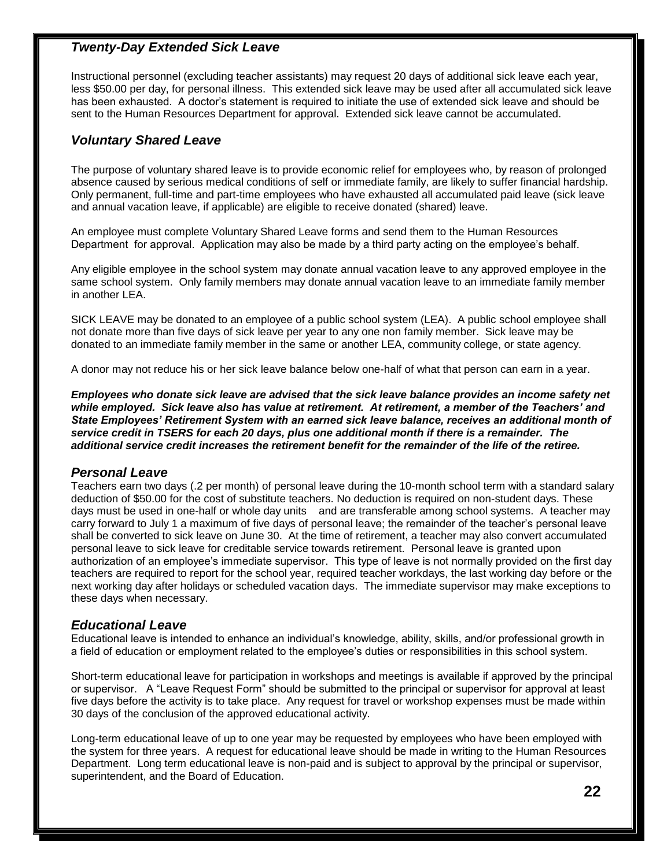#### *Twenty-Day Extended Sick Leave*

Instructional personnel (excluding teacher assistants) may request 20 days of additional sick leave each year, less \$50.00 per day, for personal illness. This extended sick leave may be used after all accumulated sick leave has been exhausted. A doctor's statement is required to initiate the use of extended sick leave and should be sent to the Human Resources Department for approval. Extended sick leave cannot be accumulated.

#### *Voluntary Shared Leave*

The purpose of voluntary shared leave is to provide economic relief for employees who, by reason of prolonged absence caused by serious medical conditions of self or immediate family, are likely to suffer financial hardship. Only permanent, full-time and part-time employees who have exhausted all accumulated paid leave (sick leave and annual vacation leave, if applicable) are eligible to receive donated (shared) leave.

An employee must complete Voluntary Shared Leave forms and send them to the Human Resources Department for approval. Application may also be made by a third party acting on the employee's behalf.

Any eligible employee in the school system may donate annual vacation leave to any approved employee in the same school system. Only family members may donate annual vacation leave to an immediate family member in another LEA.

SICK LEAVE may be donated to an employee of a public school system (LEA). A public school employee shall not donate more than five days of sick leave per year to any one non family member. Sick leave may be donated to an immediate family member in the same or another LEA, community college, or state agency.

A donor may not reduce his or her sick leave balance below one-half of what that person can earn in a year.

*Employees who donate sick leave are advised that the sick leave balance provides an income safety net while employed. Sick leave also has value at retirement. At retirement, a member of the Teachers' and State Employees' Retirement System with an earned sick leave balance, receives an additional month of service credit in TSERS for each 20 days, plus one additional month if there is a remainder. The additional service credit increases the retirement benefit for the remainder of the life of the retiree.*

#### *Personal Leave*

Teachers earn two days (.2 per month) of personal leave during the 10-month school term with a standard salary deduction of \$50.00 for the cost of substitute teachers. No deduction is required on non-student days. These days must be used in one-half or whole day units and are transferable among school systems. A teacher may carry forward to July 1 a maximum of five days of personal leave; the remainder of the teacher's personal leave shall be converted to sick leave on June 30. At the time of retirement, a teacher may also convert accumulated personal leave to sick leave for creditable service towards retirement. Personal leave is granted upon authorization of an employee's immediate supervisor. This type of leave is not normally provided on the first day teachers are required to report for the school year, required teacher workdays, the last working day before or the next working day after holidays or scheduled vacation days. The immediate supervisor may make exceptions to these days when necessary.

#### *Educational Leave*

Educational leave is intended to enhance an individual's knowledge, ability, skills, and/or professional growth in a field of education or employment related to the employee's duties or responsibilities in this school system.

Short-term educational leave for participation in workshops and meetings is available if approved by the principal or supervisor. A "Leave Request Form" should be submitted to the principal or supervisor for approval at least five days before the activity is to take place. Any request for travel or workshop expenses must be made within 30 days of the conclusion of the approved educational activity.

Long-term educational leave of up to one year may be requested by employees who have been employed with the system for three years. A request for educational leave should be made in writing to the Human Resources Department. Long term educational leave is non-paid and is subject to approval by the principal or supervisor, superintendent, and the Board of Education.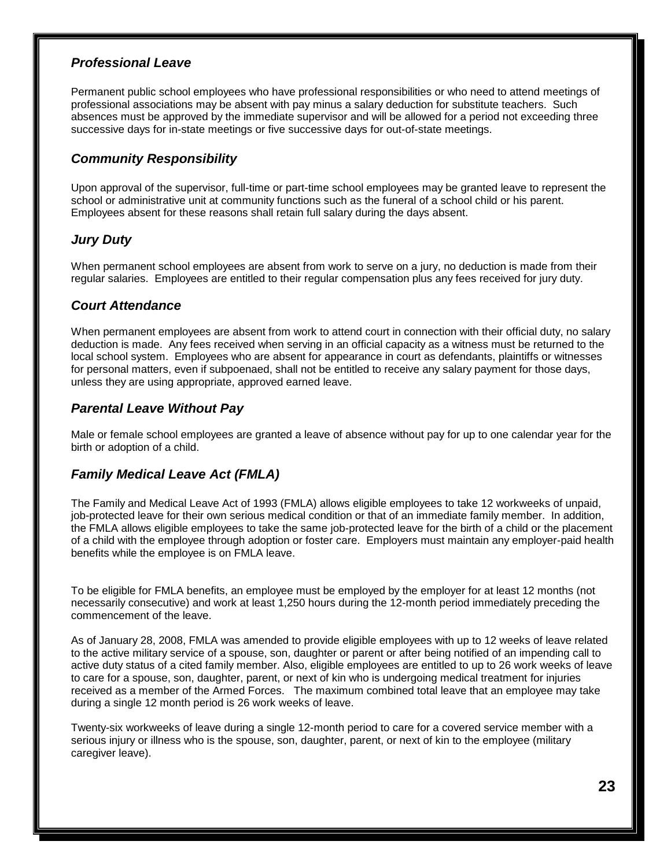#### *Professional Leave*

Permanent public school employees who have professional responsibilities or who need to attend meetings of professional associations may be absent with pay minus a salary deduction for substitute teachers. Such absences must be approved by the immediate supervisor and will be allowed for a period not exceeding three successive days for in-state meetings or five successive days for out-of-state meetings.

#### *Community Responsibility*

Upon approval of the supervisor, full-time or part-time school employees may be granted leave to represent the school or administrative unit at community functions such as the funeral of a school child or his parent. Employees absent for these reasons shall retain full salary during the days absent.

#### *Jury Duty*

When permanent school employees are absent from work to serve on a jury, no deduction is made from their regular salaries. Employees are entitled to their regular compensation plus any fees received for jury duty.

#### *Court Attendance*

When permanent employees are absent from work to attend court in connection with their official duty, no salary deduction is made. Any fees received when serving in an official capacity as a witness must be returned to the local school system. Employees who are absent for appearance in court as defendants, plaintiffs or witnesses for personal matters, even if subpoenaed, shall not be entitled to receive any salary payment for those days, unless they are using appropriate, approved earned leave.

#### *Parental Leave Without Pay*

Male or female school employees are granted a leave of absence without pay for up to one calendar year for the birth or adoption of a child.

#### *Family Medical Leave Act (FMLA)*

The Family and Medical Leave Act of 1993 (FMLA) allows eligible employees to take 12 workweeks of unpaid, job-protected leave for their own serious medical condition or that of an immediate family member. In addition, the FMLA allows eligible employees to take the same job-protected leave for the birth of a child or the placement of a child with the employee through adoption or foster care. Employers must maintain any employer-paid health benefits while the employee is on FMLA leave.

To be eligible for FMLA benefits, an employee must be employed by the employer for at least 12 months (not necessarily consecutive) and work at least 1,250 hours during the 12-month period immediately preceding the commencement of the leave.

As of January 28, 2008, FMLA was amended to provide eligible employees with up to 12 weeks of leave related to the active military service of a spouse, son, daughter or parent or after being notified of an impending call to active duty status of a cited family member. Also, eligible employees are entitled to up to 26 work weeks of leave to care for a spouse, son, daughter, parent, or next of kin who is undergoing medical treatment for injuries received as a member of the Armed Forces. The maximum combined total leave that an employee may take during a single 12 month period is 26 work weeks of leave.

Twenty-six workweeks of leave during a single 12-month period to care for a covered service member with a serious injury or illness who is the spouse, son, daughter, parent, or next of kin to the employee (military caregiver leave).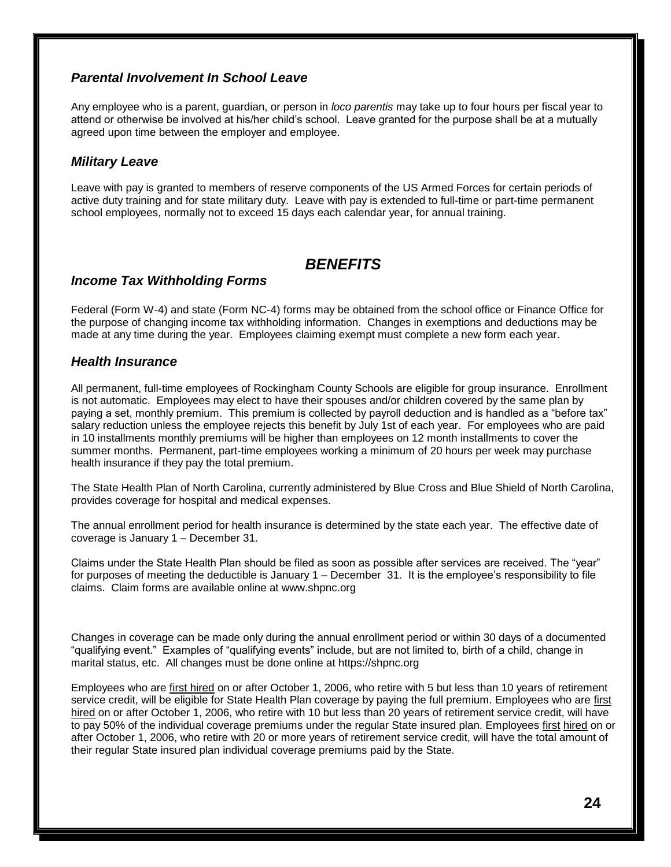#### *Parental Involvement In School Leave*

Any employee who is a parent, guardian, or person in *loco parentis* may take up to four hours per fiscal year to attend or otherwise be involved at his/her child's school. Leave granted for the purpose shall be at a mutually agreed upon time between the employer and employee.

#### *Military Leave*

Leave with pay is granted to members of reserve components of the US Armed Forces for certain periods of active duty training and for state military duty. Leave with pay is extended to full-time or part-time permanent school employees, normally not to exceed 15 days each calendar year, for annual training.

#### *BENEFITS*

#### *Income Tax Withholding Forms*

Federal (Form W-4) and state (Form NC-4) forms may be obtained from the school office or Finance Office for the purpose of changing income tax withholding information. Changes in exemptions and deductions may be made at any time during the year. Employees claiming exempt must complete a new form each year.

#### *Health Insurance*

All permanent, full-time employees of Rockingham County Schools are eligible for group insurance. Enrollment is not automatic. Employees may elect to have their spouses and/or children covered by the same plan by paying a set, monthly premium. This premium is collected by payroll deduction and is handled as a "before tax" salary reduction unless the employee rejects this benefit by July 1st of each year. For employees who are paid in 10 installments monthly premiums will be higher than employees on 12 month installments to cover the summer months. Permanent, part-time employees working a minimum of 20 hours per week may purchase health insurance if they pay the total premium.

The State Health Plan of North Carolina, currently administered by Blue Cross and Blue Shield of North Carolina, provides coverage for hospital and medical expenses.

The annual enrollment period for health insurance is determined by the state each year. The effective date of coverage is January 1 – December 31.

Claims under the State Health Plan should be filed as soon as possible after services are received. The "year" for purposes of meeting the deductible is January 1 – December 31. It is the employee's responsibility to file claims. Claim forms are available online at www.shpnc.org

Changes in coverage can be made only during the annual enrollment period or within 30 days of a documented "qualifying event." Examples of "qualifying events" include, but are not limited to, birth of a child, change in marital status, etc. All changes must be done online at https://shpnc.org

Employees who are first hired on or after October 1, 2006, who retire with 5 but less than 10 years of retirement service credit, will be eligible for State Health Plan coverage by paying the full premium. Employees who are first hired on or after October 1, 2006, who retire with 10 but less than 20 years of retirement service credit, will have to pay 50% of the individual coverage premiums under the regular State insured plan. Employees first hired on or after October 1, 2006, who retire with 20 or more years of retirement service credit, will have the total amount of their regular State insured plan individual coverage premiums paid by the State.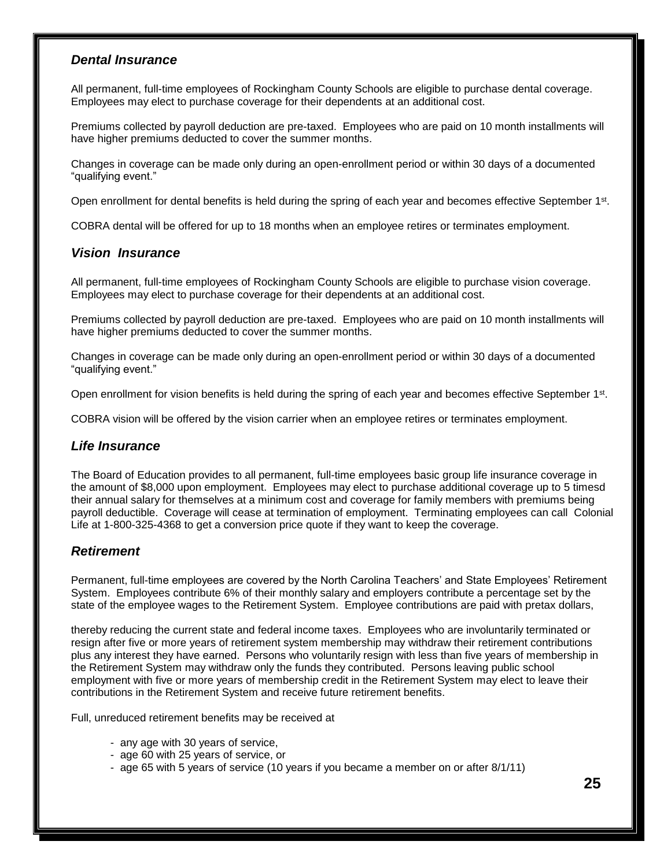#### *Dental Insurance*

All permanent, full-time employees of Rockingham County Schools are eligible to purchase dental coverage. Employees may elect to purchase coverage for their dependents at an additional cost.

Premiums collected by payroll deduction are pre-taxed. Employees who are paid on 10 month installments will have higher premiums deducted to cover the summer months.

Changes in coverage can be made only during an open-enrollment period or within 30 days of a documented "qualifying event."

Open enrollment for dental benefits is held during the spring of each year and becomes effective September  $1<sup>st</sup>$ .

COBRA dental will be offered for up to 18 months when an employee retires or terminates employment.

#### *Vision Insurance*

All permanent, full-time employees of Rockingham County Schools are eligible to purchase vision coverage. Employees may elect to purchase coverage for their dependents at an additional cost.

Premiums collected by payroll deduction are pre-taxed. Employees who are paid on 10 month installments will have higher premiums deducted to cover the summer months.

Changes in coverage can be made only during an open-enrollment period or within 30 days of a documented "qualifying event."

Open enrollment for vision benefits is held during the spring of each year and becomes effective September 1<sup>st</sup>.

COBRA vision will be offered by the vision carrier when an employee retires or terminates employment.

#### *Life Insurance*

The Board of Education provides to all permanent, full-time employees basic group life insurance coverage in the amount of \$8,000 upon employment. Employees may elect to purchase additional coverage up to 5 timesd their annual salary for themselves at a minimum cost and coverage for family members with premiums being payroll deductible. Coverage will cease at termination of employment. Terminating employees can call Colonial Life at 1-800-325-4368 to get a conversion price quote if they want to keep the coverage.

#### *Retirement*

Permanent, full-time employees are covered by the North Carolina Teachers' and State Employees' Retirement System. Employees contribute 6% of their monthly salary and employers contribute a percentage set by the state of the employee wages to the Retirement System. Employee contributions are paid with pretax dollars,

thereby reducing the current state and federal income taxes. Employees who are involuntarily terminated or resign after five or more years of retirement system membership may withdraw their retirement contributions plus any interest they have earned. Persons who voluntarily resign with less than five years of membership in the Retirement System may withdraw only the funds they contributed. Persons leaving public school employment with five or more years of membership credit in the Retirement System may elect to leave their contributions in the Retirement System and receive future retirement benefits.

Full, unreduced retirement benefits may be received at

- any age with 30 years of service,
- age 60 with 25 years of service, or
- age 65 with 5 years of service (10 years if you became a member on or after 8/1/11)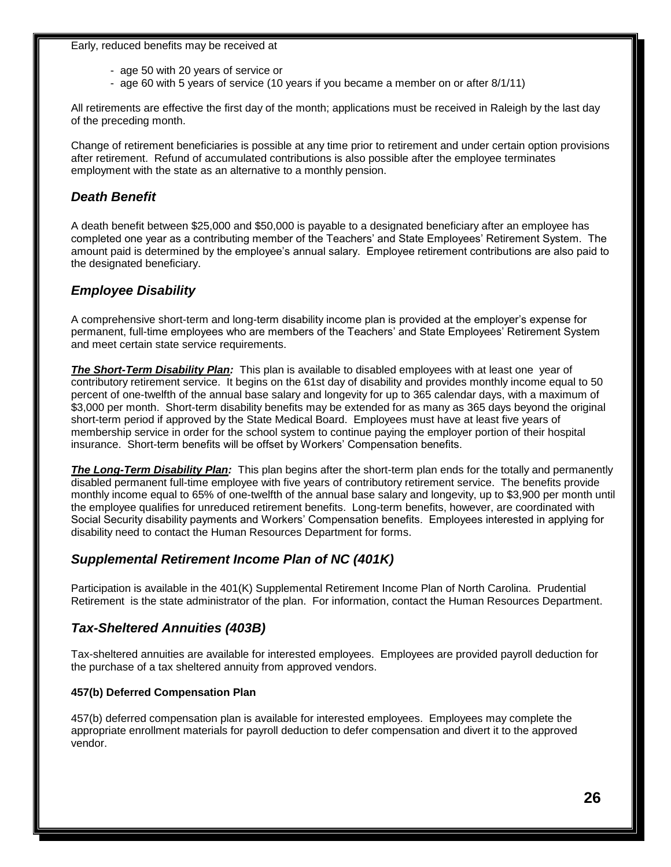#### Early, reduced benefits may be received at

- age 50 with 20 years of service or
- age 60 with 5 years of service (10 years if you became a member on or after 8/1/11)

All retirements are effective the first day of the month; applications must be received in Raleigh by the last day of the preceding month.

Change of retirement beneficiaries is possible at any time prior to retirement and under certain option provisions after retirement. Refund of accumulated contributions is also possible after the employee terminates employment with the state as an alternative to a monthly pension.

#### *Death Benefit*

A death benefit between \$25,000 and \$50,000 is payable to a designated beneficiary after an employee has completed one year as a contributing member of the Teachers' and State Employees' Retirement System. The amount paid is determined by the employee's annual salary. Employee retirement contributions are also paid to the designated beneficiary.

#### *Employee Disability*

A comprehensive short-term and long-term disability income plan is provided at the employer's expense for permanent, full-time employees who are members of the Teachers' and State Employees' Retirement System and meet certain state service requirements.

*The Short-Term Disability Plan:* This plan is available to disabled employees with at least one year of contributory retirement service. It begins on the 61st day of disability and provides monthly income equal to 50 percent of one-twelfth of the annual base salary and longevity for up to 365 calendar days, with a maximum of \$3,000 per month. Short-term disability benefits may be extended for as many as 365 days beyond the original short-term period if approved by the State Medical Board. Employees must have at least five years of membership service in order for the school system to continue paying the employer portion of their hospital insurance. Short-term benefits will be offset by Workers' Compensation benefits.

*The Long-Term Disability Plan:* This plan begins after the short-term plan ends for the totally and permanently disabled permanent full-time employee with five years of contributory retirement service. The benefits provide monthly income equal to 65% of one-twelfth of the annual base salary and longevity, up to \$3,900 per month until the employee qualifies for unreduced retirement benefits. Long-term benefits, however, are coordinated with Social Security disability payments and Workers' Compensation benefits. Employees interested in applying for disability need to contact the Human Resources Department for forms.

#### *Supplemental Retirement Income Plan of NC (401K)*

Participation is available in the 401(K) Supplemental Retirement Income Plan of North Carolina. Prudential Retirement is the state administrator of the plan. For information, contact the Human Resources Department.

#### *Tax-Sheltered Annuities (403B)*

Tax-sheltered annuities are available for interested employees. Employees are provided payroll deduction for the purchase of a tax sheltered annuity from approved vendors.

#### **457(b) Deferred Compensation Plan**

457(b) deferred compensation plan is available for interested employees. Employees may complete the appropriate enrollment materials for payroll deduction to defer compensation and divert it to the approved vendor.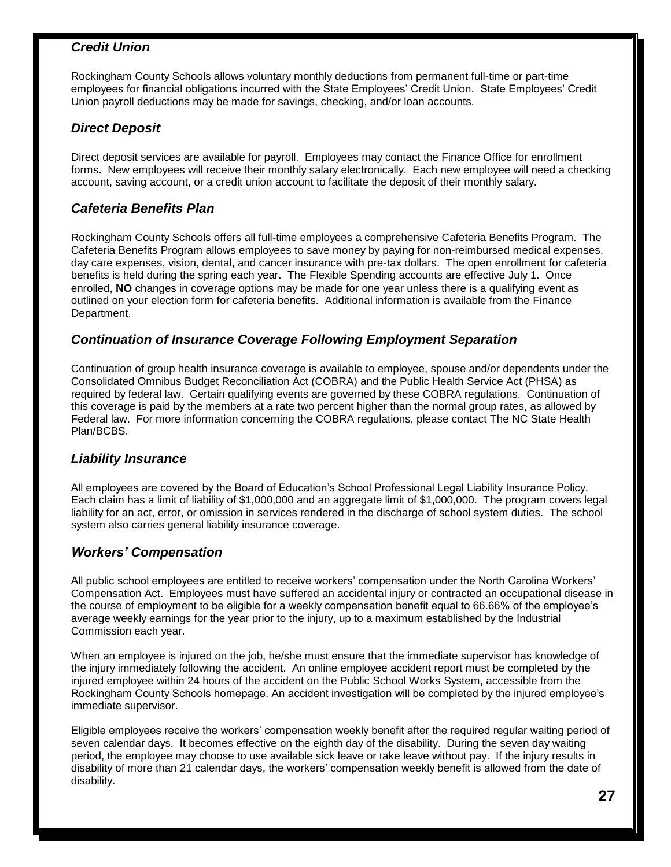#### *Credit Union*

Rockingham County Schools allows voluntary monthly deductions from permanent full-time or part-time employees for financial obligations incurred with the State Employees' Credit Union. State Employees' Credit Union payroll deductions may be made for savings, checking, and/or loan accounts.

#### *Direct Deposit*

Direct deposit services are available for payroll. Employees may contact the Finance Office for enrollment forms. New employees will receive their monthly salary electronically. Each new employee will need a checking account, saving account, or a credit union account to facilitate the deposit of their monthly salary.

#### *Cafeteria Benefits Plan*

Rockingham County Schools offers all full-time employees a comprehensive Cafeteria Benefits Program. The Cafeteria Benefits Program allows employees to save money by paying for non-reimbursed medical expenses, day care expenses, vision, dental, and cancer insurance with pre-tax dollars. The open enrollment for cafeteria benefits is held during the spring each year. The Flexible Spending accounts are effective July 1. Once enrolled, **NO** changes in coverage options may be made for one year unless there is a qualifying event as outlined on your election form for cafeteria benefits. Additional information is available from the Finance Department.

#### *Continuation of Insurance Coverage Following Employment Separation*

Continuation of group health insurance coverage is available to employee, spouse and/or dependents under the Consolidated Omnibus Budget Reconciliation Act (COBRA) and the Public Health Service Act (PHSA) as required by federal law. Certain qualifying events are governed by these COBRA regulations. Continuation of this coverage is paid by the members at a rate two percent higher than the normal group rates, as allowed by Federal law. For more information concerning the COBRA regulations, please contact The NC State Health Plan/BCBS.

#### *Liability Insurance*

All employees are covered by the Board of Education's School Professional Legal Liability Insurance Policy. Each claim has a limit of liability of \$1,000,000 and an aggregate limit of \$1,000,000. The program covers legal liability for an act, error, or omission in services rendered in the discharge of school system duties. The school system also carries general liability insurance coverage.

#### *Workers' Compensation*

All public school employees are entitled to receive workers' compensation under the North Carolina Workers' Compensation Act. Employees must have suffered an accidental injury or contracted an occupational disease in the course of employment to be eligible for a weekly compensation benefit equal to 66.66% of the employee's average weekly earnings for the year prior to the injury, up to a maximum established by the Industrial Commission each year.

When an employee is injured on the job, he/she must ensure that the immediate supervisor has knowledge of the injury immediately following the accident. An online employee accident report must be completed by the injured employee within 24 hours of the accident on the Public School Works System, accessible from the Rockingham County Schools homepage. An accident investigation will be completed by the injured employee's immediate supervisor.

Eligible employees receive the workers' compensation weekly benefit after the required regular waiting period of seven calendar days. It becomes effective on the eighth day of the disability. During the seven day waiting period, the employee may choose to use available sick leave or take leave without pay. If the injury results in disability of more than 21 calendar days, the workers' compensation weekly benefit is allowed from the date of disability.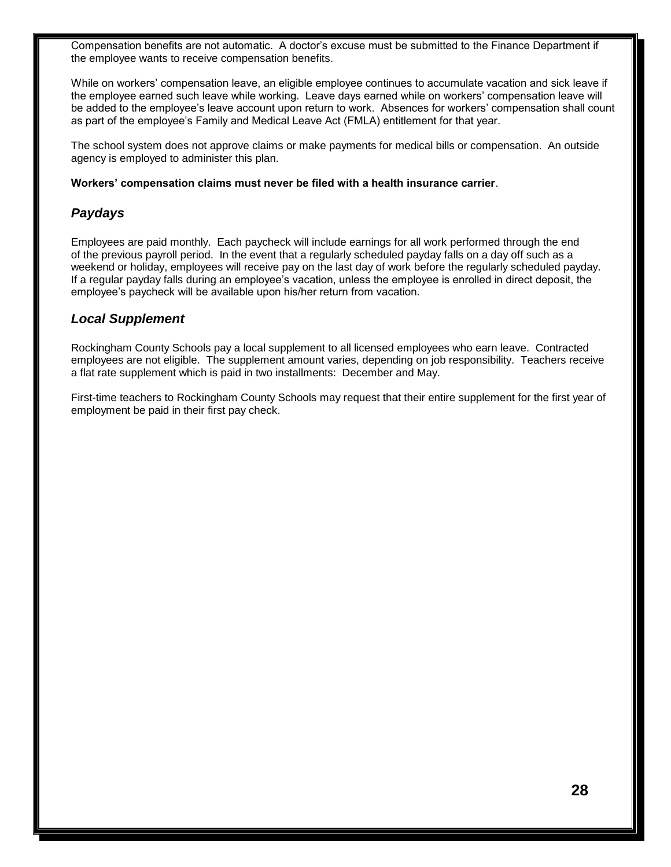Compensation benefits are not automatic. A doctor's excuse must be submitted to the Finance Department if the employee wants to receive compensation benefits.

While on workers' compensation leave, an eligible employee continues to accumulate vacation and sick leave if the employee earned such leave while working. Leave days earned while on workers' compensation leave will be added to the employee's leave account upon return to work. Absences for workers' compensation shall count as part of the employee's Family and Medical Leave Act (FMLA) entitlement for that year.

The school system does not approve claims or make payments for medical bills or compensation. An outside agency is employed to administer this plan.

#### **Workers' compensation claims must never be filed with a health insurance carrier**.

#### *Paydays*

Employees are paid monthly. Each paycheck will include earnings for all work performed through the end of the previous payroll period. In the event that a regularly scheduled payday falls on a day off such as a weekend or holiday, employees will receive pay on the last day of work before the regularly scheduled payday. If a regular payday falls during an employee's vacation, unless the employee is enrolled in direct deposit, the employee's paycheck will be available upon his/her return from vacation.

#### *Local Supplement*

Rockingham County Schools pay a local supplement to all licensed employees who earn leave. Contracted employees are not eligible. The supplement amount varies, depending on job responsibility. Teachers receive a flat rate supplement which is paid in two installments: December and May.

First-time teachers to Rockingham County Schools may request that their entire supplement for the first year of employment be paid in their first pay check.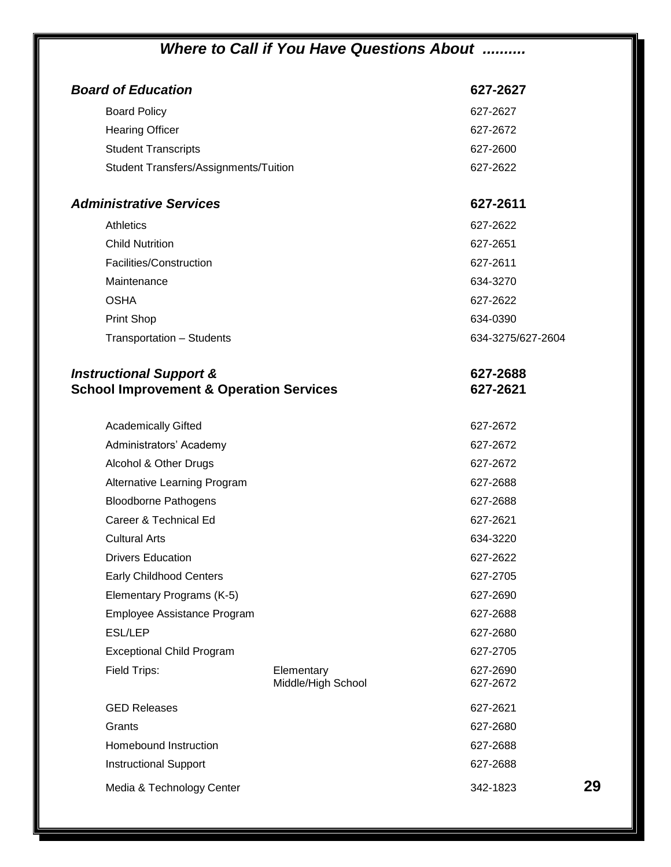# *Where to Call if You Have Questions About ..........*

| <b>Board of Education</b>                          | 627-2627          |    |
|----------------------------------------------------|-------------------|----|
| <b>Board Policy</b>                                | 627-2627          |    |
| <b>Hearing Officer</b>                             | 627-2672          |    |
| <b>Student Transcripts</b>                         | 627-2600          |    |
| Student Transfers/Assignments/Tuition              | 627-2622          |    |
|                                                    |                   |    |
| <b>Administrative Services</b>                     | 627-2611          |    |
| <b>Athletics</b>                                   | 627-2622          |    |
| <b>Child Nutrition</b>                             | 627-2651          |    |
| Facilities/Construction                            | 627-2611          |    |
| Maintenance                                        | 634-3270          |    |
| <b>OSHA</b>                                        | 627-2622          |    |
| <b>Print Shop</b>                                  | 634-0390          |    |
| Transportation - Students                          | 634-3275/627-2604 |    |
| <b>Instructional Support &amp;</b>                 | 627-2688          |    |
| <b>School Improvement &amp; Operation Services</b> | 627-2621          |    |
| <b>Academically Gifted</b>                         | 627-2672          |    |
| Administrators' Academy                            | 627-2672          |    |
| Alcohol & Other Drugs                              | 627-2672          |    |
| Alternative Learning Program                       | 627-2688          |    |
| <b>Bloodborne Pathogens</b>                        | 627-2688          |    |
| Career & Technical Ed                              | 627-2621          |    |
| <b>Cultural Arts</b>                               | 634-3220          |    |
| <b>Drivers Education</b>                           | 627-2622          |    |
| <b>Early Childhood Centers</b>                     | 627-2705          |    |
| Elementary Programs (K-5)                          | 627-2690          |    |
| Employee Assistance Program                        | 627-2688          |    |
| <b>ESL/LEP</b>                                     | 627-2680          |    |
| <b>Exceptional Child Program</b>                   | 627-2705          |    |
| Field Trips:<br>Elementary                         | 627-2690          |    |
| Middle/High School                                 | 627-2672          |    |
| <b>GED Releases</b>                                | 627-2621          |    |
| Grants                                             | 627-2680          |    |
| Homebound Instruction                              | 627-2688          |    |
| <b>Instructional Support</b>                       | 627-2688          |    |
| Media & Technology Center                          | 342-1823          | 29 |
|                                                    |                   |    |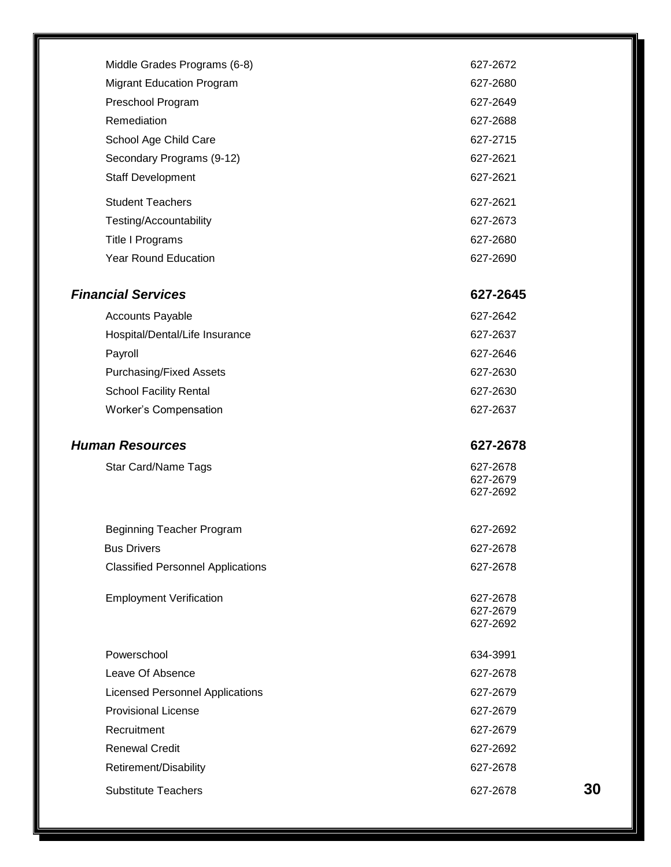| Middle Grades Programs (6-8)             | 627-2672             |    |
|------------------------------------------|----------------------|----|
| <b>Migrant Education Program</b>         | 627-2680             |    |
| Preschool Program                        | 627-2649             |    |
| Remediation                              | 627-2688             |    |
| School Age Child Care                    | 627-2715             |    |
| Secondary Programs (9-12)                | 627-2621             |    |
| <b>Staff Development</b>                 | 627-2621             |    |
| <b>Student Teachers</b>                  | 627-2621             |    |
| Testing/Accountability                   | 627-2673             |    |
| Title I Programs                         | 627-2680             |    |
| <b>Year Round Education</b>              | 627-2690             |    |
| <b>Financial Services</b>                | 627-2645             |    |
| <b>Accounts Payable</b>                  | 627-2642             |    |
| Hospital/Dental/Life Insurance           | 627-2637             |    |
| Payroll                                  | 627-2646             |    |
| <b>Purchasing/Fixed Assets</b>           | 627-2630             |    |
| <b>School Facility Rental</b>            | 627-2630             |    |
| <b>Worker's Compensation</b>             | 627-2637             |    |
|                                          |                      |    |
| <b>Human Resources</b>                   | 627-2678             |    |
| Star Card/Name Tags                      | 627-2678             |    |
|                                          | 627-2679<br>627-2692 |    |
|                                          |                      |    |
| Beginning Teacher Program                | 627-2692             |    |
| <b>Bus Drivers</b>                       | 627-2678             |    |
| <b>Classified Personnel Applications</b> | 627-2678             |    |
|                                          |                      |    |
| <b>Employment Verification</b>           | 627-2678<br>627-2679 |    |
|                                          | 627-2692             |    |
| Powerschool                              | 634-3991             |    |
| Leave Of Absence                         | 627-2678             |    |
| <b>Licensed Personnel Applications</b>   | 627-2679             |    |
| <b>Provisional License</b>               | 627-2679             |    |
| Recruitment                              | 627-2679             |    |
| <b>Renewal Credit</b>                    | 627-2692             |    |
| Retirement/Disability                    | 627-2678             |    |
| <b>Substitute Teachers</b>               | 627-2678             | 30 |
|                                          |                      |    |